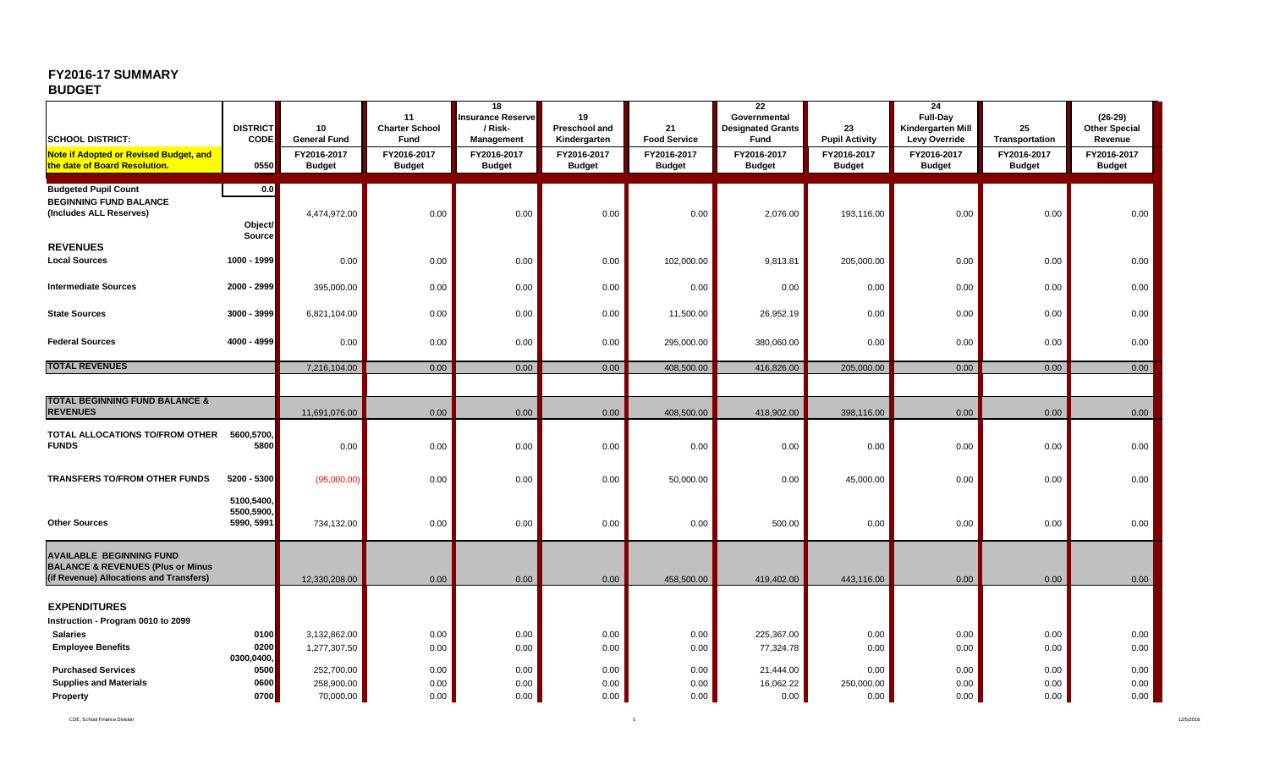## **FY2016-17 SUMMARY**

## **BUDGET**

|                                                                                                    | <b>DISTRICT</b>                        | 10                                                  | 11<br><b>Charter School</b>          | 18<br><b>Insurance Reserve</b><br>/ Risk-  | 19<br>Preschool and                          | 21                                                  | 22<br>Governmental<br><b>Designated Grants</b> | 23                                                    | 24<br>Full-Day<br>Kindergarten Mill           | 25                                             | $(26-29)$<br><b>Other Special</b>       |
|----------------------------------------------------------------------------------------------------|----------------------------------------|-----------------------------------------------------|--------------------------------------|--------------------------------------------|----------------------------------------------|-----------------------------------------------------|------------------------------------------------|-------------------------------------------------------|-----------------------------------------------|------------------------------------------------|-----------------------------------------|
| <b>SCHOOL DISTRICT:</b><br>Note if Adopted or Revised Budget, and<br>the date of Board Resolution. | <b>CODE</b><br>0550                    | <b>General Fund</b><br>FY2016-2017<br><b>Budget</b> | Fund<br>FY2016-2017<br><b>Budget</b> | Management<br>FY2016-2017<br><b>Budget</b> | Kindergarten<br>FY2016-2017<br><b>Budget</b> | <b>Food Service</b><br>FY2016-2017<br><b>Budget</b> | Fund<br>FY2016-2017<br><b>Budget</b>           | <b>Pupil Activity</b><br>FY2016-2017<br><b>Budget</b> | Levy Override<br>FY2016-2017<br><b>Budget</b> | Transportation<br>FY2016-2017<br><b>Budget</b> | Revenue<br>FY2016-2017<br><b>Budget</b> |
|                                                                                                    |                                        |                                                     |                                      |                                            |                                              |                                                     |                                                |                                                       |                                               |                                                |                                         |
| <b>Budgeted Pupil Count</b><br><b>BEGINNING FUND BALANCE</b><br>(Includes ALL Reserves)            | 0.0<br>Object/<br><b>Source</b>        | 4,474,972.00                                        | 0.00                                 | 0.00                                       | 0.00                                         | 0.00                                                | 2,076.00                                       | 193,116.00                                            | 0.00                                          | 0.00                                           | 0.00                                    |
| <b>REVENUES</b>                                                                                    |                                        |                                                     |                                      |                                            |                                              |                                                     |                                                |                                                       |                                               |                                                |                                         |
| <b>Local Sources</b>                                                                               | 1000 - 1999                            | 0.00                                                | 0.00                                 | 0.00                                       | 0.00                                         | 102,000.00                                          | 9,813.81                                       | 205,000.00                                            | 0.00                                          | 0.00                                           | 0.00                                    |
| <b>Intermediate Sources</b>                                                                        | 2000 - 2999                            | 395,000.00                                          | 0.00                                 | 0.00                                       | 0.00                                         | 0.00                                                | 0.00                                           | 0.00                                                  | 0.00                                          | 0.00                                           | 0.00                                    |
| <b>State Sources</b>                                                                               | 3000 - 3999                            | 6,821,104.00                                        | 0.00                                 | 0.00                                       | 0.00                                         | 11,500.00                                           | 26,952.19                                      | 0.00                                                  | 0.00                                          | 0.00                                           | 0.00                                    |
| <b>Federal Sources</b>                                                                             | 4000 - 4999                            | 0.00                                                | 0.00                                 | 0.00                                       | 0.00                                         | 295,000.00                                          | 380,060.00                                     | 0.00                                                  | 0.00                                          | 0.00                                           | 0.00                                    |
| <b>TOTAL REVENUES</b>                                                                              |                                        | 7,216,104.00                                        | 0.00                                 | 0.00                                       | 0.00                                         | 408,500.00                                          | 416,826.00                                     | 205,000.00                                            | 0.00                                          | 0.00                                           | 0.00                                    |
|                                                                                                    |                                        |                                                     |                                      |                                            |                                              |                                                     |                                                |                                                       |                                               |                                                |                                         |
| <b>TOTAL BEGINNING FUND BALANCE &amp;</b>                                                          |                                        |                                                     |                                      |                                            |                                              |                                                     |                                                |                                                       |                                               |                                                |                                         |
| <b>REVENUES</b>                                                                                    |                                        | 11,691,076.00                                       | 0.00                                 | 0.00                                       | 0.00                                         | 408,500.00                                          | 418,902.00                                     | 398,116.00                                            | 0.00                                          | 0.00                                           | 0.00                                    |
| TOTAL ALLOCATIONS TO/FROM OTHER<br><b>FUNDS</b>                                                    | 5600,5700,<br>5800                     | 0.00                                                | 0.00                                 | 0.00                                       | 0.00                                         | 0.00                                                | 0.00                                           | 0.00                                                  | 0.00                                          | 0.00                                           | 0.00                                    |
| <b>TRANSFERS TO/FROM OTHER FUNDS</b>                                                               | 5200 - 5300                            | (95,000.00)                                         | 0.00                                 | 0.00                                       | 0.00                                         | 50,000.00                                           | 0.00                                           | 45,000.00                                             | 0.00                                          | 0.00                                           | 0.00                                    |
| <b>Other Sources</b>                                                                               | 5100,5400,<br>5500,5900,<br>5990, 5991 | 734,132.00                                          | 0.00                                 | 0.00                                       | 0.00                                         | 0.00                                                | 500.00                                         | 0.00                                                  | 0.00                                          | 0.00                                           | 0.00                                    |
| <b>AVAILABLE BEGINNING FUND</b><br><b>BALANCE &amp; REVENUES (Plus or Minus</b>                    |                                        |                                                     |                                      |                                            |                                              |                                                     |                                                |                                                       |                                               |                                                |                                         |
| (if Revenue) Allocations and Transfers)                                                            |                                        | 12,330,208.00                                       | 0.00                                 | 0.00                                       | 0.00                                         | 458,500.00                                          | 419,402.00                                     | 443,116.00                                            | 0.00                                          | 0.00                                           | 0.00                                    |
| <b>EXPENDITURES</b>                                                                                |                                        |                                                     |                                      |                                            |                                              |                                                     |                                                |                                                       |                                               |                                                |                                         |
| Instruction - Program 0010 to 2099                                                                 |                                        |                                                     |                                      |                                            |                                              |                                                     |                                                |                                                       |                                               |                                                |                                         |
| <b>Salaries</b>                                                                                    | 0100                                   | 3,132,862.00                                        | 0.00                                 | 0.00                                       | 0.00                                         | 0.00                                                | 225,367.00                                     | 0.00                                                  | 0.00                                          | 0.00                                           | 0.00                                    |
| <b>Employee Benefits</b>                                                                           | 0200<br>0300,0400,                     | 1,277,307.50                                        | 0.00                                 | 0.00                                       | 0.00                                         | 0.00                                                | 77,324.78                                      | 0.00                                                  | 0.00                                          | 0.00                                           | 0.00                                    |
| <b>Purchased Services</b>                                                                          | 0500                                   | 252,700.00                                          | 0.00                                 | 0.00                                       | 0.00                                         | 0.00                                                | 21,444.00                                      | 0.00                                                  | 0.00                                          | 0.00                                           | 0.00                                    |
| <b>Supplies and Materials</b>                                                                      | 0600                                   | 258,900.00                                          | 0.00                                 | 0.00                                       | 0.00                                         | 0.00                                                | 16,062.22                                      | 250,000.00                                            | 0.00                                          | 0.00                                           | 0.00                                    |
| Property                                                                                           | 0700                                   | 70,000.00                                           | 0.00                                 | 0.00                                       | 0.00                                         | 0.00                                                | 0.00                                           | 0.00                                                  | 0.00                                          | 0.00                                           | 0.00                                    |

CDE, School Finance Division 1 12/5/2016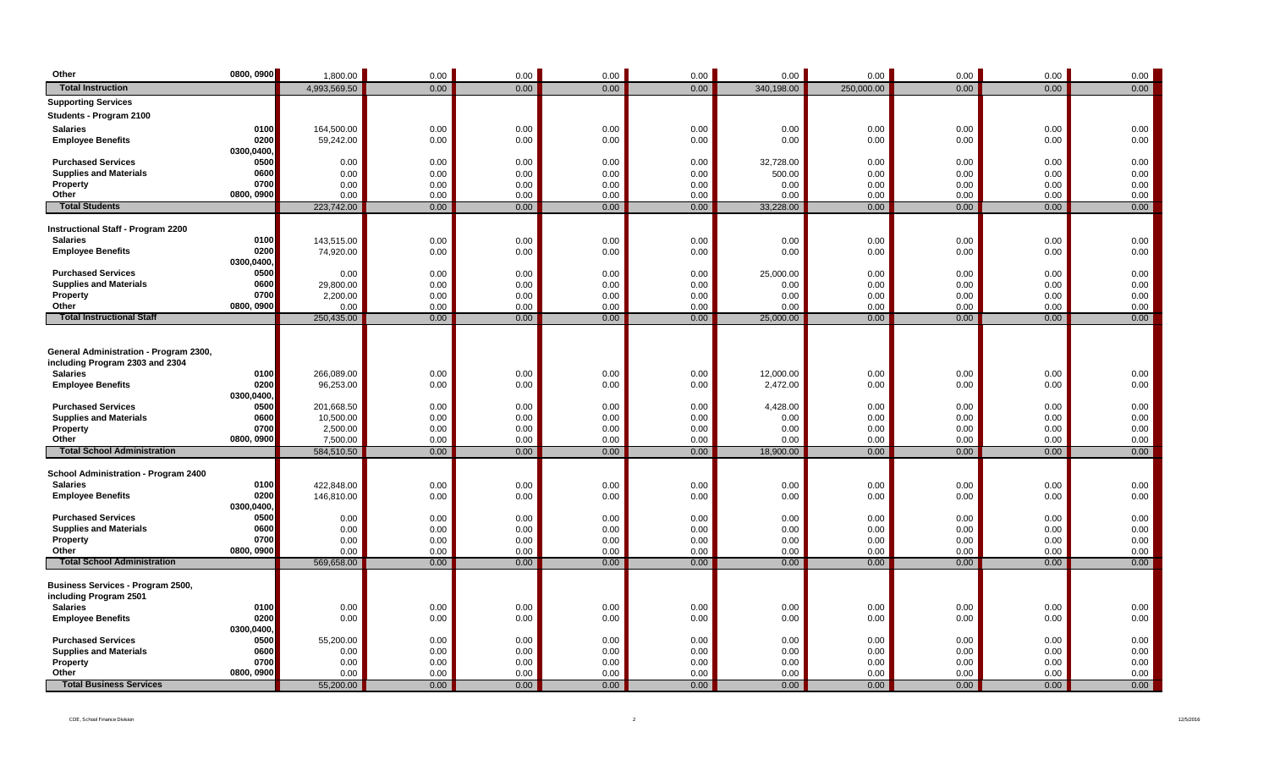| Other                                                      | 0800, 0900         | 1,800.00          | 0.00         | 0.00         | 0.00         | 0.00         | 0.00              | 0.00         | 0.00         | 0.00         | 0.00         |
|------------------------------------------------------------|--------------------|-------------------|--------------|--------------|--------------|--------------|-------------------|--------------|--------------|--------------|--------------|
| <b>Total Instruction</b>                                   |                    | 4,993,569.50      | 0.00         | 0.00         | 0.00         | 0.00         | 340,198.00        | 250,000.00   | 0.00         | 0.00         | 0.00         |
| <b>Supporting Services</b>                                 |                    |                   |              |              |              |              |                   |              |              |              |              |
| Students - Program 2100                                    |                    |                   |              |              |              |              |                   |              |              |              |              |
| <b>Salaries</b>                                            | 0100               | 164,500.00        | 0.00         | 0.00         | 0.00         | 0.00         | 0.00              | 0.00         | 0.00         | 0.00         | 0.00         |
| <b>Employee Benefits</b>                                   | 0200               | 59,242.00         | 0.00         | 0.00         | 0.00         | 0.00         | 0.00              | 0.00         | 0.00         | 0.00         | 0.00         |
|                                                            | 0300,0400,         |                   |              |              |              |              |                   |              |              |              |              |
| <b>Purchased Services</b>                                  | 0500               | 0.00              | 0.00         | 0.00         | 0.00         | 0.00         | 32,728.00         | 0.00         | 0.00         | 0.00         | 0.00         |
| <b>Supplies and Materials</b>                              | 0600               | 0.00              | 0.00         | 0.00         | 0.00         | 0.00         | 500.00            | 0.00         | 0.00         | 0.00         | 0.00         |
| Property<br>Other                                          | 0700<br>0800, 0900 | 0.00<br>0.00      | 0.00<br>0.00 | 0.00<br>0.00 | 0.00<br>0.00 | 0.00<br>0.00 | 0.00<br>0.00      | 0.00<br>0.00 | 0.00<br>0.00 | 0.00<br>0.00 | 0.00<br>0.00 |
| <b>Total Students</b>                                      |                    | 223,742.00        | 0.00         | 0.00         | 0.00         | 0.00         | 33,228.00         | 0.00         | 0.00         | 0.00         | 0.00         |
|                                                            |                    |                   |              |              |              |              |                   |              |              |              |              |
| <b>Instructional Staff - Program 2200</b>                  |                    |                   |              |              |              |              |                   |              |              |              |              |
| <b>Salaries</b>                                            | 0100               | 143,515.00        | 0.00         | 0.00         | 0.00         | 0.00         | 0.00              | 0.00         | 0.00         | 0.00         | 0.00         |
| <b>Employee Benefits</b>                                   | 0200               | 74,920.00         | 0.00         | 0.00         | 0.00         | 0.00         | 0.00              | 0.00         | 0.00         | 0.00         | 0.00         |
|                                                            | 0300,0400,         |                   |              |              |              |              |                   |              |              |              |              |
| <b>Purchased Services</b><br><b>Supplies and Materials</b> | 0500<br>0600       | 0.00<br>29,800.00 | 0.00<br>0.00 | 0.00<br>0.00 | 0.00<br>0.00 | 0.00<br>0.00 | 25,000.00<br>0.00 | 0.00<br>0.00 | 0.00<br>0.00 | 0.00<br>0.00 | 0.00<br>0.00 |
| Property                                                   | 0700               | 2,200.00          | 0.00         | 0.00         | 0.00         | 0.00         | 0.00              | 0.00         | 0.00         | 0.00         | 0.00         |
| Other                                                      | 0800, 0900         | 0.00              | 0.00         | 0.00         | 0.00         | 0.00         | 0.00              | 0.00         | 0.00         | 0.00         | 0.00         |
| <b>Total Instructional Staff</b>                           |                    | 250,435.00        | 0.00         | 0.00         | 0.00         | 0.00         | 25,000.00         | 0.00         | 0.00         | 0.00         | 0.00         |
|                                                            |                    |                   |              |              |              |              |                   |              |              |              |              |
|                                                            |                    |                   |              |              |              |              |                   |              |              |              |              |
| General Administration - Program 2300,                     |                    |                   |              |              |              |              |                   |              |              |              |              |
| including Program 2303 and 2304<br><b>Salaries</b>         | 0100               | 266,089.00        | 0.00         | 0.00         | 0.00         | 0.00         | 12,000.00         | 0.00         | 0.00         | 0.00         | 0.00         |
| <b>Employee Benefits</b>                                   | 0200               | 96,253.00         | 0.00         | 0.00         | 0.00         | 0.00         | 2,472.00          | 0.00         | 0.00         | 0.00         | 0.00         |
|                                                            | 0300,0400,         |                   |              |              |              |              |                   |              |              |              |              |
| <b>Purchased Services</b>                                  | 0500               | 201,668.50        | 0.00         | 0.00         | 0.00         | 0.00         | 4,428.00          | 0.00         | 0.00         | 0.00         | 0.00         |
| <b>Supplies and Materials</b>                              | 0600               | 10,500.00         | 0.00         | 0.00         | 0.00         | 0.00         | 0.00              | 0.00         | 0.00         | 0.00         | 0.00         |
| Property                                                   | 0700               | 2,500.00          | 0.00         | 0.00         | 0.00         | 0.00         | 0.00              | 0.00         | 0.00         | 0.00         | 0.00         |
| Other<br><b>Total School Administration</b>                | 0800, 0900         | 7,500.00          | 0.00         | 0.00         | 0.00         | 0.00         | 0.00              | 0.00         | 0.00         | 0.00         | 0.00         |
|                                                            |                    | 584,510.50        | 0.00         | 0.00         | 0.00         | 0.00         | 18,900.00         | 0.00         | 0.00         | 0.00         | 0.00         |
| School Administration - Program 2400                       |                    |                   |              |              |              |              |                   |              |              |              |              |
| <b>Salaries</b>                                            | 0100               | 422,848.00        | 0.00         | 0.00         | 0.00         | 0.00         | 0.00              | 0.00         | 0.00         | 0.00         | 0.00         |
| <b>Employee Benefits</b>                                   | 0200               | 146,810.00        | 0.00         | 0.00         | 0.00         | 0.00         | 0.00              | 0.00         | 0.00         | 0.00         | 0.00         |
|                                                            | 0300,0400,         |                   |              |              |              |              |                   |              |              |              |              |
| <b>Purchased Services</b>                                  | 0500               | 0.00              | 0.00         | 0.00         | 0.00         | 0.00         | 0.00              | 0.00         | 0.00         | 0.00         | 0.00         |
| <b>Supplies and Materials</b><br>Property                  | 0600<br>0700       | 0.00<br>0.00      | 0.00<br>0.00 | 0.00<br>0.00 | 0.00<br>0.00 | 0.00<br>0.00 | 0.00<br>0.00      | 0.00<br>0.00 | 0.00<br>0.00 | 0.00<br>0.00 | 0.00<br>0.00 |
| Other                                                      | 0800, 0900         | 0.00              | 0.00         | 0.00         | 0.00         | 0.00         | 0.00              | 0.00         | 0.00         | 0.00         | 0.00         |
| <b>Total School Administration</b>                         |                    | 569,658.00        | 0.00         | 0.00         | 0.00         | 0.00         | 0.00              | 0.00         | 0.00         | 0.00         | 0.00         |
|                                                            |                    |                   |              |              |              |              |                   |              |              |              |              |
| Business Services - Program 2500,                          |                    |                   |              |              |              |              |                   |              |              |              |              |
| including Program 2501                                     |                    |                   |              |              |              |              |                   |              |              |              |              |
| <b>Salaries</b>                                            | 0100               | 0.00              | 0.00         | 0.00         | 0.00         | 0.00         | 0.00              | 0.00         | 0.00         | 0.00         | 0.00         |
| <b>Employee Benefits</b>                                   | 0200<br>0300,0400, | 0.00              | 0.00         | 0.00         | 0.00         | 0.00         | 0.00              | 0.00         | 0.00         | 0.00         | 0.00         |
| <b>Purchased Services</b>                                  | 0500               | 55,200.00         | 0.00         | 0.00         | 0.00         | 0.00         | 0.00              | 0.00         | 0.00         | 0.00         | 0.00         |
| <b>Supplies and Materials</b>                              | 0600               | 0.00              | 0.00         | 0.00         | 0.00         | 0.00         | 0.00              | 0.00         | 0.00         | 0.00         | 0.00         |
| Property                                                   | 0700               | 0.00              | 0.00         | 0.00         | 0.00         | 0.00         | 0.00              | 0.00         | 0.00         | 0.00         | 0.00         |
| Other                                                      | 0800, 0900         | 0.00              | 0.00         | 0.00         | 0.00         | 0.00         | 0.00              | 0.00         | 0.00         | 0.00         | 0.00         |
| <b>Total Business Services</b>                             |                    | 55,200.00         | 0.00         | 0.00         | 0.00         | 0.00         | 0.00              | 0.00         | 0.00         | 0.00         | 0.00         |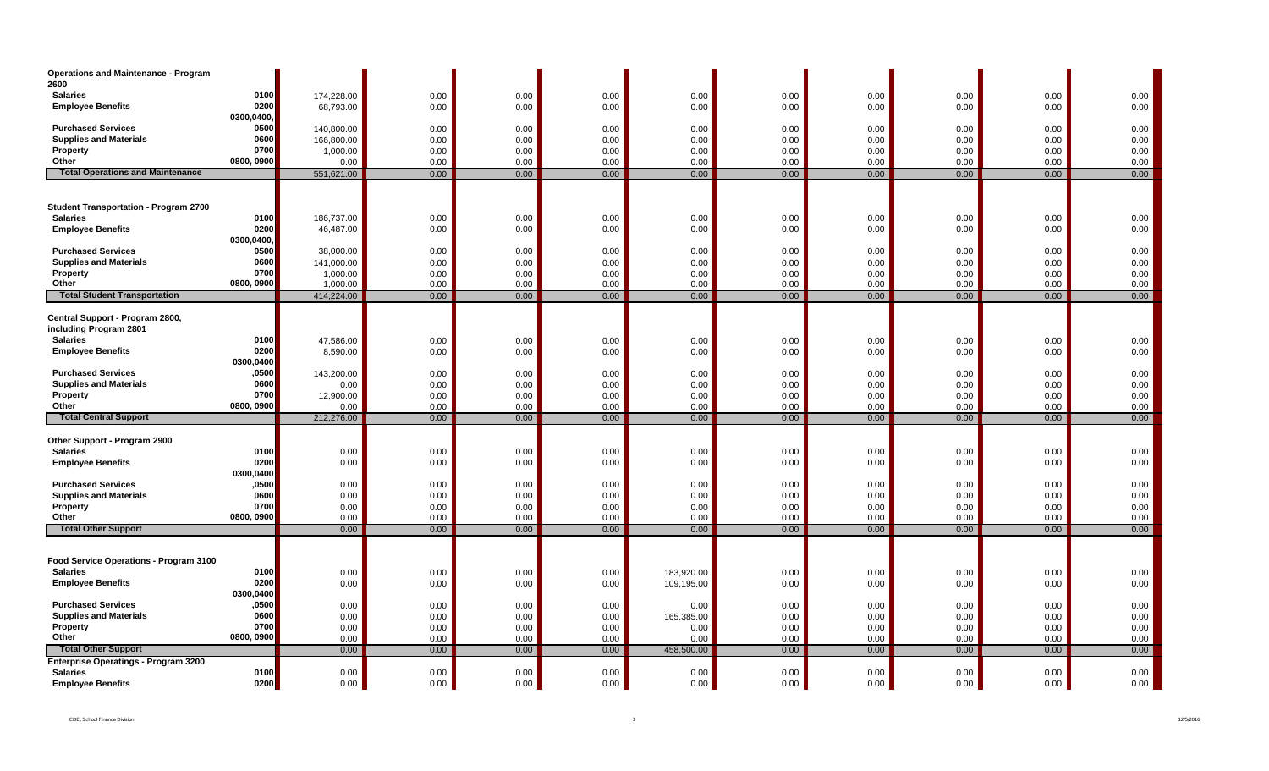| <b>Operations and Maintenance - Program</b><br>2600 |              |            |      |      |      |            |      |      |      |      |          |
|-----------------------------------------------------|--------------|------------|------|------|------|------------|------|------|------|------|----------|
| <b>Salaries</b>                                     | 0100         | 174,228.00 | 0.00 | 0.00 | 0.00 | 0.00       | 0.00 | 0.00 | 0.00 | 0.00 | 0.00     |
| <b>Employee Benefits</b>                            | 0200         | 68,793.00  | 0.00 | 0.00 | 0.00 | 0.00       | 0.00 | 0.00 | 0.00 | 0.00 | 0.00     |
|                                                     | 0300,0400,   |            |      |      |      |            |      |      |      |      |          |
| <b>Purchased Services</b>                           | 0500         | 140,800.00 | 0.00 | 0.00 | 0.00 | 0.00       | 0.00 | 0.00 | 0.00 | 0.00 | 0.00     |
| <b>Supplies and Materials</b>                       | 0600         | 166,800.00 | 0.00 | 0.00 | 0.00 | 0.00       | 0.00 | 0.00 | 0.00 | 0.00 | $0.00\,$ |
| Property                                            | 0700         | 1,000.00   | 0.00 | 0.00 | 0.00 | 0.00       | 0.00 | 0.00 | 0.00 | 0.00 | 0.00     |
| Other                                               | 0800, 0900   | 0.00       | 0.00 | 0.00 | 0.00 | 0.00       | 0.00 | 0.00 | 0.00 | 0.00 | 0.00     |
| <b>Total Operations and Maintenance</b>             |              | 551,621.00 | 0.00 | 0.00 | 0.00 | 0.00       | 0.00 | 0.00 | 0.00 | 0.00 | 0.00     |
|                                                     |              |            |      |      |      |            |      |      |      |      |          |
|                                                     |              |            |      |      |      |            |      |      |      |      |          |
| <b>Student Transportation - Program 2700</b>        |              |            |      |      |      |            |      |      |      |      |          |
| <b>Salaries</b>                                     | 0100<br>0200 | 186,737.00 | 0.00 | 0.00 | 0.00 | 0.00       | 0.00 | 0.00 | 0.00 | 0.00 | 0.00     |
| <b>Employee Benefits</b>                            | 0300,0400,   | 46,487.00  | 0.00 | 0.00 | 0.00 | 0.00       | 0.00 | 0.00 | 0.00 | 0.00 | 0.00     |
| <b>Purchased Services</b>                           | 0500         | 38,000.00  | 0.00 | 0.00 | 0.00 | 0.00       | 0.00 | 0.00 | 0.00 | 0.00 | 0.00     |
| <b>Supplies and Materials</b>                       | 0600         | 141,000.00 | 0.00 | 0.00 | 0.00 | 0.00       | 0.00 | 0.00 | 0.00 | 0.00 | 0.00     |
| Property                                            | 0700         | 1,000.00   | 0.00 | 0.00 | 0.00 | 0.00       | 0.00 | 0.00 | 0.00 | 0.00 | $0.00\,$ |
| Other                                               | 0800, 0900   | 1,000.00   | 0.00 | 0.00 | 0.00 | 0.00       | 0.00 | 0.00 | 0.00 | 0.00 | 0.00     |
| <b>Total Student Transportation</b>                 |              | 414,224.00 | 0.00 | 0.00 | 0.00 | 0.00       | 0.00 | 0.00 | 0.00 | 0.00 | 0.00     |
|                                                     |              |            |      |      |      |            |      |      |      |      |          |
| Central Support - Program 2800,                     |              |            |      |      |      |            |      |      |      |      |          |
| including Program 2801                              |              |            |      |      |      |            |      |      |      |      |          |
| <b>Salaries</b>                                     | 0100         | 47,586.00  | 0.00 | 0.00 | 0.00 | 0.00       | 0.00 | 0.00 | 0.00 | 0.00 | 0.00     |
| <b>Employee Benefits</b>                            | 0200         | 8,590.00   | 0.00 | 0.00 | 0.00 | 0.00       | 0.00 | 0.00 | 0.00 | 0.00 | 0.00     |
|                                                     | 0300,0400    |            |      |      |      |            |      |      |      |      |          |
| <b>Purchased Services</b>                           | ,0500        | 143,200.00 | 0.00 | 0.00 | 0.00 | 0.00       | 0.00 | 0.00 | 0.00 | 0.00 | 0.00     |
| <b>Supplies and Materials</b>                       | 0600         | 0.00       | 0.00 | 0.00 | 0.00 | 0.00       | 0.00 | 0.00 | 0.00 | 0.00 | 0.00     |
| Property                                            | 0700         | 12,900.00  | 0.00 | 0.00 | 0.00 | 0.00       | 0.00 | 0.00 | 0.00 | 0.00 | 0.00     |
| Other                                               | 0800, 0900   | 0.00       | 0.00 | 0.00 | 0.00 | 0.00       | 0.00 | 0.00 | 0.00 | 0.00 | 0.00     |
| <b>Total Central Support</b>                        |              | 212,276.00 | 0.00 | 0.00 | 0.00 | 0.00       | 0.00 | 0.00 | 0.00 | 0.00 | 0.00     |
| Other Support - Program 2900                        |              |            |      |      |      |            |      |      |      |      |          |
| <b>Salaries</b>                                     | 0100         | 0.00       | 0.00 | 0.00 | 0.00 | 0.00       | 0.00 | 0.00 | 0.00 | 0.00 | 0.00     |
| <b>Employee Benefits</b>                            | 0200         | 0.00       | 0.00 | 0.00 | 0.00 | 0.00       | 0.00 | 0.00 | 0.00 | 0.00 | 0.00     |
|                                                     | 0300,0400    |            |      |      |      |            |      |      |      |      |          |
| <b>Purchased Services</b>                           | ,0500        | 0.00       | 0.00 | 0.00 | 0.00 | 0.00       | 0.00 | 0.00 | 0.00 | 0.00 | 0.00     |
| <b>Supplies and Materials</b>                       | 0600         | 0.00       | 0.00 | 0.00 | 0.00 | 0.00       | 0.00 | 0.00 | 0.00 | 0.00 | 0.00     |
| Property                                            | 0700         | 0.00       | 0.00 | 0.00 | 0.00 | 0.00       | 0.00 | 0.00 | 0.00 | 0.00 | $0.00\,$ |
| Other                                               | 0800, 0900   | 0.00       | 0.00 | 0.00 | 0.00 | 0.00       | 0.00 | 0.00 | 0.00 | 0.00 | 0.00     |
| <b>Total Other Support</b>                          |              | 0.00       | 0.00 | 0.00 | 0.00 | 0.00       | 0.00 | 0.00 | 0.00 | 0.00 | 0.00     |
|                                                     |              |            |      |      |      |            |      |      |      |      |          |
| Food Service Operations - Program 3100              |              |            |      |      |      |            |      |      |      |      |          |
| <b>Salaries</b>                                     | 0100         | 0.00       | 0.00 | 0.00 | 0.00 | 183,920.00 | 0.00 | 0.00 | 0.00 | 0.00 | 0.00     |
| <b>Employee Benefits</b>                            | 0200         | 0.00       | 0.00 | 0.00 | 0.00 | 109,195.00 | 0.00 | 0.00 | 0.00 | 0.00 | 0.00     |
|                                                     | 0300,0400    |            |      |      |      |            |      |      |      |      |          |
| <b>Purchased Services</b>                           | ,0500        | 0.00       | 0.00 | 0.00 | 0.00 | 0.00       | 0.00 | 0.00 | 0.00 | 0.00 | 0.00     |
| <b>Supplies and Materials</b>                       | 0600         | 0.00       | 0.00 | 0.00 | 0.00 | 165,385.00 | 0.00 | 0.00 | 0.00 | 0.00 | $0.00\,$ |
| Property                                            | 0700         | 0.00       | 0.00 | 0.00 | 0.00 | 0.00       | 0.00 | 0.00 | 0.00 | 0.00 | 0.00     |
| Other                                               | 0800, 0900   | 0.00       | 0.00 | 0.00 | 0.00 | 0.00       | 0.00 | 0.00 | 0.00 | 0.00 | 0.00     |
| <b>Total Other Support</b>                          |              | 0.00       | 0.00 | 0.00 | 0.00 | 458,500.00 | 0.00 | 0.00 | 0.00 | 0.00 | 0.00     |
| <b>Enterprise Operatings - Program 3200</b>         |              |            |      |      |      |            |      |      |      |      |          |
| <b>Salaries</b>                                     | 0100         | 0.00       | 0.00 | 0.00 | 0.00 | 0.00       | 0.00 | 0.00 | 0.00 | 0.00 | 0.00     |
| <b>Employee Benefits</b>                            | 0200         | 0.00       | 0.00 | 0.00 | 0.00 | 0.00       | 0.00 | 0.00 | 0.00 | 0.00 | 0.00     |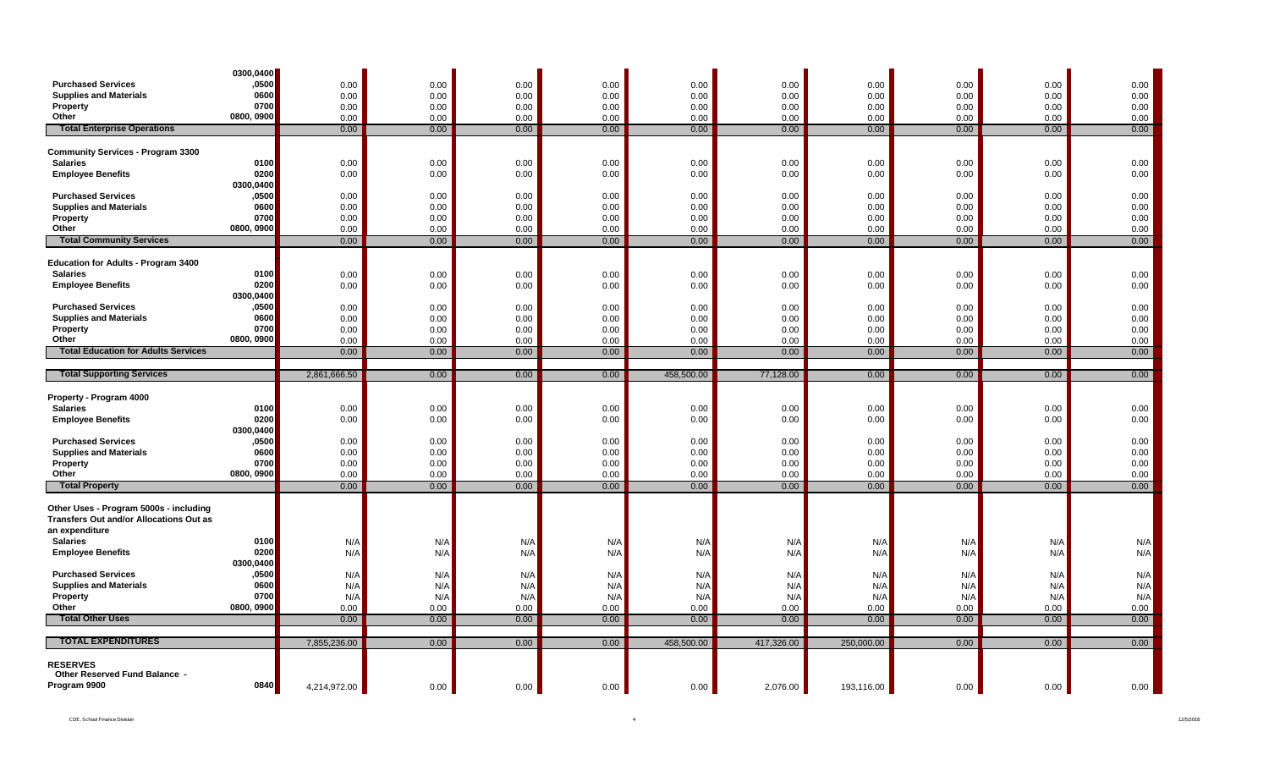|                                                     | 0300,0400          |              |              |              |              |              |              |              |              |              |              |
|-----------------------------------------------------|--------------------|--------------|--------------|--------------|--------------|--------------|--------------|--------------|--------------|--------------|--------------|
| <b>Purchased Services</b>                           | ,0500              | 0.00         | 0.00         | 0.00         | 0.00         | 0.00         | 0.00         | 0.00         | 0.00         | 0.00         | 0.00         |
| <b>Supplies and Materials</b>                       | 0600               | 0.00         | 0.00         | 0.00         | 0.00         | 0.00         | 0.00         | 0.00         | 0.00         | 0.00         | $0.00\,$     |
| Property                                            | 0700               | 0.00         | 0.00         | 0.00         | 0.00         | 0.00         | 0.00         | 0.00         | 0.00         | 0.00         | 0.00         |
| Other                                               | 0800, 0900         | 0.00         | 0.00         | 0.00         | 0.00         | 0.00         | 0.00         | 0.00         | 0.00         | 0.00         | 0.00         |
| <b>Total Enterprise Operations</b>                  |                    | 0.00         | 0.00         | 0.00         | 0.00         | 0.00         | 0.00         | 0.00         | 0.00         | 0.00         | 0.00         |
| <b>Community Services - Program 3300</b>            |                    |              |              |              |              |              |              |              |              |              |              |
| <b>Salaries</b>                                     | 0100               | 0.00         | 0.00         | 0.00         | 0.00         | 0.00         | 0.00         | 0.00         | 0.00         | 0.00         | 0.00         |
| <b>Employee Benefits</b>                            | 0200               | 0.00         | 0.00         | 0.00         | 0.00         | 0.00         | 0.00         | 0.00         | 0.00         | 0.00         | 0.00         |
|                                                     | 0300,0400          |              |              |              |              |              |              |              |              |              |              |
| <b>Purchased Services</b>                           | ,0500              | 0.00         | 0.00         | 0.00         | 0.00         | 0.00         | 0.00         | 0.00         | 0.00         | 0.00         | 0.00         |
| <b>Supplies and Materials</b>                       | 0600               | 0.00         | 0.00         | 0.00         | 0.00         | 0.00         | 0.00         | 0.00         | 0.00         | 0.00         | 0.00         |
| Property                                            | 0700               | 0.00         | 0.00         | 0.00         | 0.00         | 0.00         | 0.00         | 0.00         | 0.00         | 0.00         | 0.00         |
| Other                                               | 0800, 0900         | 0.00         | 0.00         | 0.00         | 0.00         | 0.00         | 0.00         | 0.00         | 0.00         | 0.00         | 0.00         |
| <b>Total Community Services</b>                     |                    | 0.00         | 0.00         | 0.00         | 0.00         | 0.00         | 0.00         | 0.00         | 0.00         | 0.00         | 0.00         |
|                                                     |                    |              |              |              |              |              |              |              |              |              |              |
| <b>Education for Adults - Program 3400</b>          |                    |              |              |              |              |              |              |              |              |              |              |
| <b>Salaries</b>                                     | 0100               | 0.00         | 0.00         | 0.00         | 0.00         | 0.00         | 0.00         | 0.00         | 0.00         | 0.00         | 0.00         |
| <b>Employee Benefits</b>                            | 0200               | 0.00         | 0.00         | 0.00         | 0.00         | 0.00         | 0.00         | 0.00         | 0.00         | 0.00         | 0.00         |
|                                                     | 0300,0400          |              |              |              |              |              |              |              |              |              |              |
| <b>Purchased Services</b>                           | ,0500              | 0.00         | 0.00         | 0.00         | 0.00         | 0.00         | 0.00         | 0.00         | 0.00         | 0.00         | 0.00         |
| <b>Supplies and Materials</b>                       | 0600               | 0.00         | 0.00         | 0.00         | 0.00         | 0.00         | 0.00         | 0.00         | 0.00         | 0.00         | 0.00         |
| Property                                            | 0700               | 0.00         | 0.00         | 0.00         | 0.00         | 0.00         | 0.00         | 0.00         | 0.00         | 0.00         | 0.00         |
| Other<br><b>Total Education for Adults Services</b> | 0800, 0900         | 0.00         | 0.00         | 0.00         | 0.00         | 0.00         | 0.00         | 0.00         | 0.00         | 0.00         | 0.00         |
|                                                     |                    | 0.00         | 0.00         | 0.00         | 0.00         | 0.00         | 0.00         | 0.00         | 0.00         | 0.00         | 0.00         |
| <b>Total Supporting Services</b>                    |                    | 2,861,666.50 | 0.00         | 0.00         | 0.00         | 458,500.00   | 77,128.00    | 0.00         | 0.00         | 0.00         | 0.00         |
|                                                     |                    |              |              |              |              |              |              |              |              |              |              |
|                                                     |                    |              |              |              |              |              |              |              |              |              |              |
|                                                     |                    |              |              |              |              |              |              |              |              |              |              |
| Property - Program 4000<br><b>Salaries</b>          | 0100               |              |              |              |              |              |              |              |              |              |              |
| <b>Employee Benefits</b>                            | 0200               | 0.00<br>0.00 | 0.00<br>0.00 | 0.00<br>0.00 | 0.00<br>0.00 | 0.00<br>0.00 | 0.00<br>0.00 | 0.00<br>0.00 | 0.00<br>0.00 | 0.00<br>0.00 | 0.00<br>0.00 |
|                                                     | 0300,0400          |              |              |              |              |              |              |              |              |              |              |
| <b>Purchased Services</b>                           | ,0500              | 0.00         | 0.00         | 0.00         | 0.00         | 0.00         | 0.00         | 0.00         | 0.00         | 0.00         | 0.00         |
| <b>Supplies and Materials</b>                       | 0600               | 0.00         | 0.00         | 0.00         | 0.00         | 0.00         | 0.00         | 0.00         | 0.00         | 0.00         | 0.00         |
| Property                                            | 0700               | 0.00         | 0.00         | 0.00         | 0.00         | 0.00         | 0.00         | 0.00         | 0.00         | 0.00         | 0.00         |
| Other                                               | 0800, 0900         | 0.00         | 0.00         | 0.00         | 0.00         | 0.00         | 0.00         | 0.00         | 0.00         | 0.00         | 0.00         |
| <b>Total Property</b>                               |                    | 0.00         | 0.00         | 0.00         | 0.00         | 0.00         | 0.00         | 0.00         | 0.00         | 0.00         | 0.00         |
|                                                     |                    |              |              |              |              |              |              |              |              |              |              |
| Other Uses - Program 5000s - including              |                    |              |              |              |              |              |              |              |              |              |              |
| <b>Transfers Out and/or Allocations Out as</b>      |                    |              |              |              |              |              |              |              |              |              |              |
| an expenditure                                      |                    |              |              |              |              |              |              |              |              |              |              |
| <b>Salaries</b>                                     | 0100               | N/A          | N/A          | N/A          | N/A          | N/A          | N/A          | N/A          | N/A          | N/A          | N/A          |
| <b>Employee Benefits</b>                            | 0200               | N/A          | N/A          | N/A          | N/A          | N/A          | N/A          | N/A          | N/A          | N/A          | N/A          |
| <b>Purchased Services</b>                           | 0300,0400<br>,0500 | N/A          | N/A          | N/A          | N/A          | N/A          | N/A          | N/A          | N/A          | N/A          | N/A          |
| <b>Supplies and Materials</b>                       | 0600               | N/A          | N/A          | N/A          | N/A          | N/A          | N/A          | N/A          | N/A          | N/A          |              |
| Property                                            | 0700               | N/A          | N/A          | N/A          | N/A          | N/A          | N/A          | N/A          | N/A          | N/A          | N/A<br>N/A   |
| Other                                               | 0800, 0900         | 0.00         | 0.00         | 0.00         | 0.00         | 0.00         | 0.00         | 0.00         | 0.00         | 0.00         | 0.00         |
| <b>Total Other Uses</b>                             |                    | 0.00         | 0.00         | 0.00         | 0.00         | 0.00         | 0.00         | 0.00         | 0.00         | 0.00         | 0.00         |
|                                                     |                    |              |              |              |              |              |              |              |              |              |              |
| <b>TOTAL EXPENDITURES</b>                           |                    | 7,855,236.00 | 0.00         | 0.00         | 0.00         | 458,500.00   | 417,326.00   | 250,000.00   | 0.00         | 0.00         | 0.00         |
|                                                     |                    |              |              |              |              |              |              |              |              |              |              |
| <b>RESERVES</b>                                     |                    |              |              |              |              |              |              |              |              |              |              |
| Other Reserved Fund Balance -<br>Program 9900       | 0840               | 4,214,972.00 | 0.00         | 0.00         | 0.00         | 0.00         | 2,076.00     | 193,116.00   | 0.00         | 0.00         | 0.00         |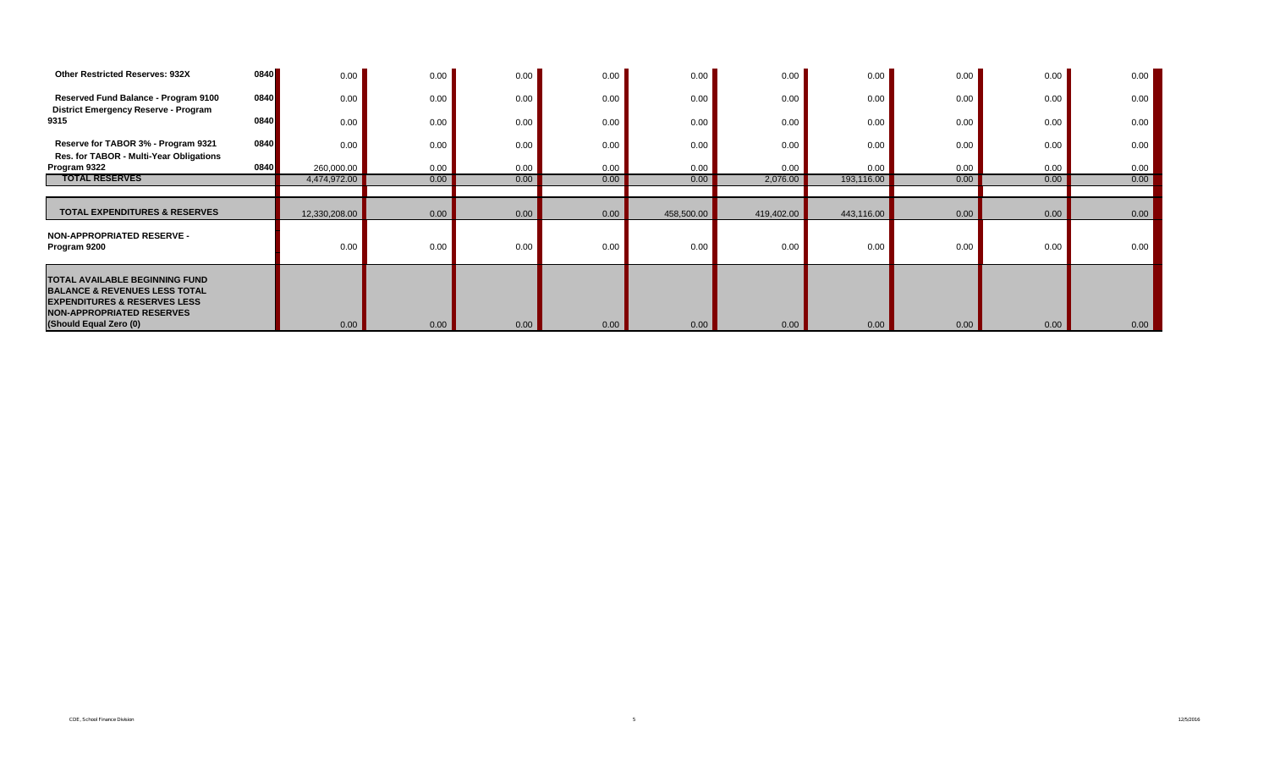| Other Restricted Reserves: 932X                                                                                                                                                     | 0840 | 0.00          | 0.00 | 0.00 | 0.00 | 0.00       | 0.00       | 0.00       | 0.00 | 0.00 | 0.00 |
|-------------------------------------------------------------------------------------------------------------------------------------------------------------------------------------|------|---------------|------|------|------|------------|------------|------------|------|------|------|
| Reserved Fund Balance - Program 9100<br><b>District Emergency Reserve - Program</b>                                                                                                 | 0840 | 0.00          | 0.00 | 0.00 | 0.00 | 0.00       | 0.00       | 0.00       | 0.00 | 0.00 | 0.00 |
| 9315                                                                                                                                                                                | 0840 | 0.00          | 0.00 | 0.00 | 0.00 | 0.00       | 0.00       | 0.00       | 0.00 | 0.00 | 0.00 |
| Reserve for TABOR 3% - Program 9321<br>Res. for TABOR - Multi-Year Obligations                                                                                                      | 0840 | 0.00          | 0.00 | 0.00 | 0.00 | 0.00       | 0.00       | 0.00       | 0.00 | 0.00 | 0.00 |
| Program 9322                                                                                                                                                                        | 0840 | 260,000.00    | 0.00 | 0.00 | 0.00 | 0.00       | 0.00       | 0.00       | 0.00 | 0.00 | 0.00 |
| <b>TOTAL RESERVES</b>                                                                                                                                                               |      | 4,474,972.00  | 0.00 | 0.00 | 0.00 | 0.00       | 2,076.00   | 193,116.00 | 0.00 | 0.00 | 0.00 |
|                                                                                                                                                                                     |      |               |      |      |      |            |            |            |      |      |      |
| <b>TOTAL EXPENDITURES &amp; RESERVES</b>                                                                                                                                            |      | 12,330,208.00 | 0.00 | 0.00 | 0.00 | 458,500.00 | 419,402.00 | 443,116.00 | 0.00 | 0.00 | 0.00 |
| <b>NON-APPROPRIATED RESERVE -</b><br>Program 9200                                                                                                                                   |      | 0.00          | 0.00 | 0.00 | 0.00 | 0.00       | 0.00       | 0.00       | 0.00 | 0.00 | 0.00 |
| TOTAL AVAILABLE BEGINNING FUND<br><b>BALANCE &amp; REVENUES LESS TOTAL</b><br><b>EXPENDITURES &amp; RESERVES LESS</b><br><b>NON-APPROPRIATED RESERVES</b><br>(Should Equal Zero (0) |      | 0.00          | 0.00 | 0.00 | 0.00 | 0.00       | 0.00       | 0.00       | 0.00 | 0.00 | 0.00 |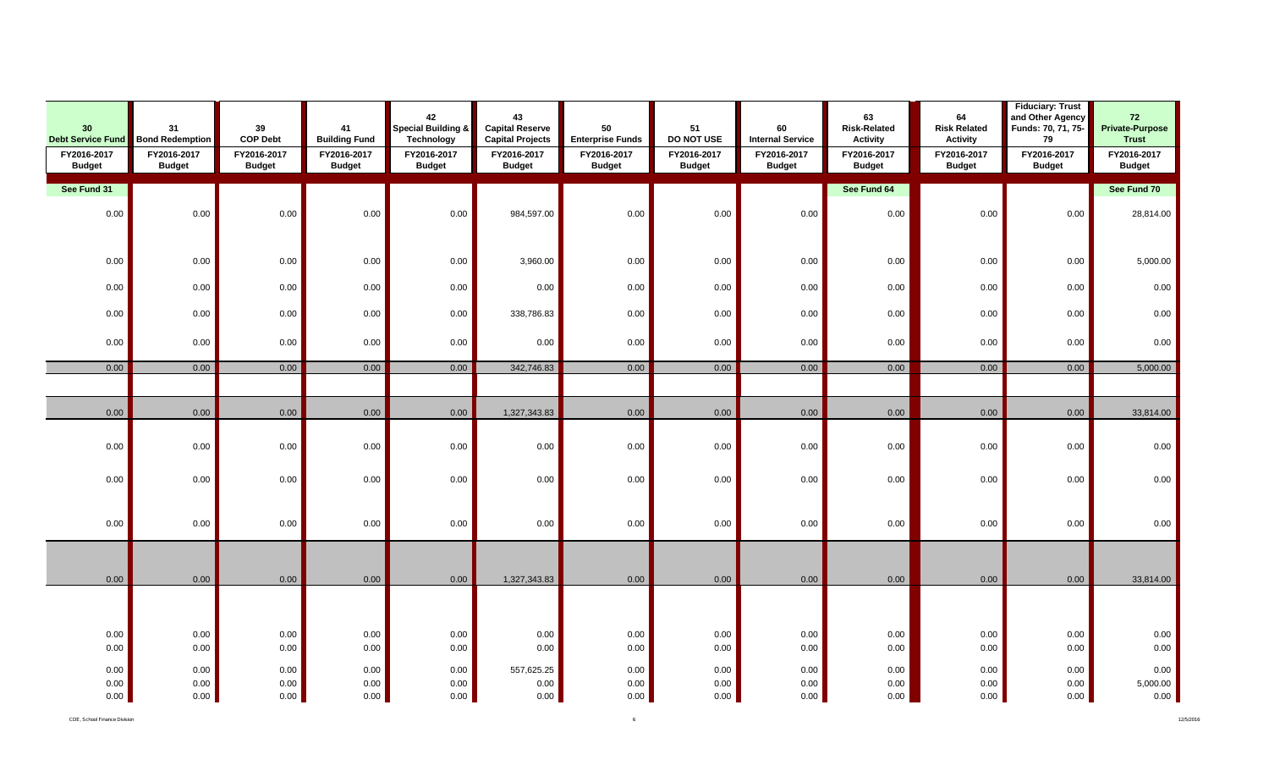| 30<br><b>Debt Service Fund</b> | 31<br><b>Bond Redemption</b> | 39<br><b>COP Debt</b>        | 41<br><b>Building Fund</b>   | 42<br>Special Building &<br><b>Technology</b> | 43<br><b>Capital Reserve</b><br><b>Capital Projects</b> | 50<br><b>Enterprise Funds</b> | 51<br>DO NOT USE             | 60<br><b>Internal Service</b> | 63<br><b>Risk-Related</b><br><b>Activity</b> | 64<br><b>Risk Related</b><br><b>Activity</b> | <b>Fiduciary: Trust</b><br>and Other Agency<br>Funds: 70, 71, 75-<br>79 | 72<br><b>Private-Purpose</b><br><b>Trust</b> |
|--------------------------------|------------------------------|------------------------------|------------------------------|-----------------------------------------------|---------------------------------------------------------|-------------------------------|------------------------------|-------------------------------|----------------------------------------------|----------------------------------------------|-------------------------------------------------------------------------|----------------------------------------------|
| FY2016-2017<br><b>Budget</b>   | FY2016-2017<br><b>Budget</b> | FY2016-2017<br><b>Budget</b> | FY2016-2017<br><b>Budget</b> | FY2016-2017<br><b>Budget</b>                  | FY2016-2017<br><b>Budget</b>                            | FY2016-2017<br><b>Budget</b>  | FY2016-2017<br><b>Budget</b> | FY2016-2017<br><b>Budget</b>  | FY2016-2017<br><b>Budget</b>                 | FY2016-2017<br><b>Budget</b>                 | FY2016-2017<br><b>Budget</b>                                            | FY2016-2017<br><b>Budget</b>                 |
| See Fund 31                    |                              |                              |                              |                                               |                                                         |                               |                              |                               | See Fund 64                                  |                                              |                                                                         | See Fund 70                                  |
| 0.00                           | 0.00                         | 0.00                         | 0.00                         | 0.00                                          | 984,597.00                                              | 0.00                          | 0.00                         | 0.00                          | 0.00                                         | 0.00                                         | 0.00                                                                    | 28,814.00                                    |
| 0.00                           | 0.00                         | 0.00                         | 0.00                         | 0.00                                          | 3,960.00                                                | 0.00                          | 0.00                         | 0.00                          | 0.00                                         | $0.00\,$                                     | 0.00                                                                    | 5,000.00                                     |
| 0.00                           | 0.00                         | 0.00                         | 0.00                         | $0.00\,$                                      | 0.00                                                    | 0.00                          | 0.00                         | 0.00                          | 0.00                                         | $0.00\,$                                     | 0.00                                                                    | 0.00                                         |
| 0.00                           | 0.00                         | 0.00                         | 0.00                         | 0.00                                          | 338,786.83                                              | 0.00                          | 0.00                         | 0.00                          | 0.00                                         | 0.00                                         | 0.00                                                                    | $0.00\,$                                     |
| 0.00                           | 0.00                         | 0.00                         | 0.00                         | 0.00                                          | 0.00                                                    | 0.00                          | 0.00                         | 0.00                          | 0.00                                         | 0.00                                         | 0.00                                                                    | 0.00                                         |
| 0.00                           | 0.00                         | 0.00                         | 0.00                         | 0.00                                          | 342,746.83                                              | 0.00                          | 0.00                         | 0.00                          | 0.00                                         | 0.00                                         | 0.00                                                                    | 5,000.00                                     |
|                                |                              |                              |                              |                                               |                                                         |                               |                              |                               |                                              |                                              |                                                                         |                                              |
| 0.00                           | 0.00                         | 0.00                         | 0.00                         | 0.00                                          | 1,327,343.83                                            | 0.00                          | 0.00                         | 0.00                          | 0.00                                         | 0.00                                         | 0.00                                                                    | 33,814.00                                    |
| 0.00                           | 0.00                         | 0.00                         | 0.00                         | 0.00                                          | 0.00                                                    | 0.00                          | 0.00                         | 0.00                          | 0.00                                         | 0.00                                         | 0.00                                                                    | 0.00                                         |
| 0.00                           | 0.00                         | 0.00                         | 0.00                         | 0.00                                          | 0.00                                                    | 0.00                          | 0.00                         | 0.00                          | 0.00                                         | 0.00                                         | 0.00                                                                    | 0.00                                         |
| 0.00                           | 0.00                         | 0.00                         | 0.00                         | $0.00\,$                                      | 0.00                                                    | 0.00                          | 0.00                         | 0.00                          | 0.00                                         | 0.00                                         | 0.00                                                                    | $0.00\,$                                     |
| 0.00                           | 0.00                         | 0.00                         | 0.00                         | 0.00                                          | 1,327,343.83                                            | 0.00                          | 0.00                         | 0.00                          | 0.00                                         | 0.00                                         | 0.00                                                                    | 33,814.00                                    |
|                                |                              |                              |                              |                                               |                                                         |                               |                              |                               |                                              |                                              |                                                                         |                                              |
| 0.00<br>0.00                   | 0.00<br>0.00                 | 0.00<br>0.00                 | 0.00<br>0.00                 | 0.00<br>0.00                                  | 0.00<br>0.00                                            | 0.00<br>0.00                  | 0.00<br>0.00                 | 0.00<br>0.00                  | 0.00<br>0.00                                 | 0.00<br>0.00                                 | 0.00<br>0.00                                                            | $0.00\,$<br>0.00                             |
| 0.00<br>0.00<br>0.00           | $0.00\,$<br>0.00<br>0.00     | 0.00<br>0.00<br>0.00         | 0.00<br>0.00<br>0.00         | 0.00<br>$0.00\,$<br>0.00                      | 557,625.25<br>0.00<br>0.00                              | 0.00<br>0.00<br>0.00          | 0.00<br>0.00<br>0.00         | 0.00<br>0.00<br>0.00          | 0.00<br>0.00<br>0.00                         | 0.00<br>0.00<br>0.00                         | 0.00<br>0.00<br>0.00                                                    | $0.00\,$<br>5,000.00<br>0.00                 |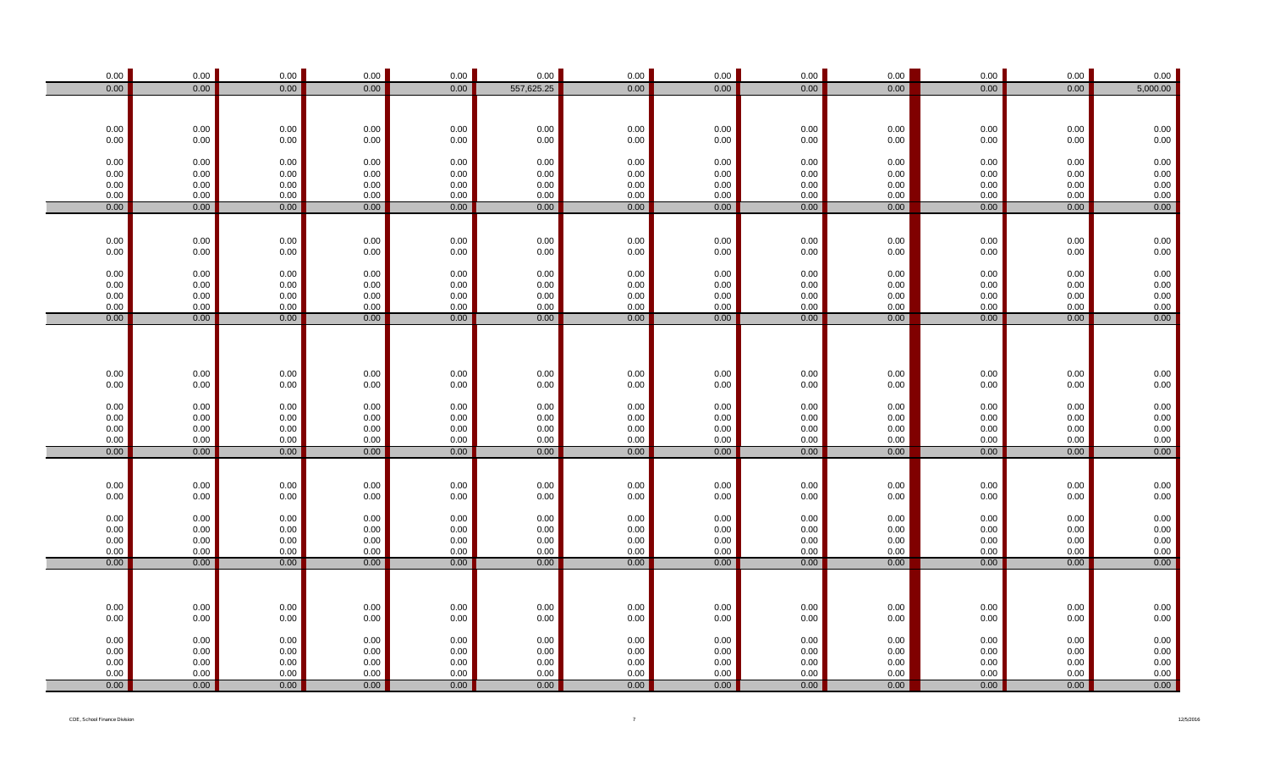| 0.00                                        | 0.00             | 0.00                 | 0.00                                        | 0.00             | 0.00             | 0.00         | 0.00             | 0.00                 | 0.00             | 0.00                 | 0.00         | 0.00                                                |
|---------------------------------------------|------------------|----------------------|---------------------------------------------|------------------|------------------|--------------|------------------|----------------------|------------------|----------------------|--------------|-----------------------------------------------------|
| 0.00                                        | 0.00             | 0.00                 | 0.00                                        | 0.00             | 557,625.25       | 0.00         | 0.00             | 0.00                 | 0.00             | 0.00                 | 0.00         | 5,000.00                                            |
|                                             |                  |                      |                                             |                  |                  |              |                  |                      |                  |                      |              |                                                     |
|                                             |                  |                      |                                             |                  |                  |              |                  |                      |                  |                      |              |                                                     |
| $0.00\,$<br>0.00                            | $0.00\,$<br>0.00 | $0.00\,$<br>0.00     | $0.00\,$<br>0.00                            | $0.00\,$<br>0.00 | $0.00\,$<br>0.00 | 0.00<br>0.00 | $0.00\,$<br>0.00 | $0.00\,$<br>0.00     | $0.00\,$<br>0.00 | $0.00\,$<br>$0.00\,$ | 0.00<br>0.00 | $0.00\,$<br>0.00                                    |
|                                             |                  |                      |                                             |                  |                  |              |                  |                      |                  |                      |              |                                                     |
| 0.00                                        | 0.00             | 0.00                 | 0.00                                        | 0.00             | $0.00\,$         | 0.00         | 0.00             | $0.00\,$             | 0.00             | $0.00\,$             | 0.00         | $0.00\,$                                            |
| 0.00                                        | 0.00             | 0.00                 | 0.00                                        | 0.00             | 0.00             | 0.00         | 0.00             | $0.00\,$             | 0.00             | $0.00\,$             | 0.00         | $0.00\,$                                            |
| 0.00                                        | $0.00\,$         | 0.00                 | 0.00                                        | 0.00             | 0.00             | 0.00         | 0.00             | $0.00\,$             | 0.00             | $0.00\,$             | 0.00         | $0.00$<br>$0.00$                                    |
| 0.00                                        | $0.00\,$         | 0.00                 | 0.00                                        | 0.00             | 0.00             | 0.00         | 0.00             | $0.00\,$             | $0.00\,$         | 0.00                 | 0.00         |                                                     |
| 0.00                                        | 0.00             | 0.00                 | 0.00                                        | 0.00             | 0.00             | 0.00         | 0.00             | 0.00                 | 0.00             | 0.00                 | 0.00         | 0.00                                                |
|                                             |                  |                      |                                             |                  |                  |              |                  |                      |                  |                      |              |                                                     |
| 0.00                                        | $0.00\,$         | $0.00\,$             | $0.00\,$                                    | $0.00\,$         | $0.00\,$         | 0.00         | $0.00\,$         | $0.00\,$             | $0.00\,$         | $0.00\,$             | 0.00         | $0.00\,$                                            |
| $0.00\,$                                    | $0.00\,$         | $0.00\,$             | $0.00\,$                                    | 0.00             | 0.00             | $0.00\,$     | 0.00             | $0.00\,$             | 0.00             | $0.00\,$             | 0.00         | $0.00\,$                                            |
|                                             |                  |                      |                                             |                  |                  |              |                  |                      |                  |                      |              |                                                     |
| 0.00                                        | $0.00\,$         | 0.00                 | 0.00                                        | 0.00             | $0.00\,$         | 0.00         | 0.00             | $0.00\,$             | 0.00             | $0.00\,$             | 0.00         | $0.00\,$                                            |
| 0.00<br>0.00                                | $0.00\,$         | 0.00                 | $0.00\,$<br>0.00                            | 0.00<br>0.00     | $0.00\,$<br>0.00 | 0.00<br>0.00 | $0.00\,$<br>0.00 | $0.00\,$             | 0.00<br>0.00     | $0.00\,$<br>$0.00\,$ | 0.00         | $0.00\,$                                            |
| 0.00                                        | 0.00<br>0.00     | 0.00<br>0.00         | 0.00                                        | 0.00             | 0.00             | 0.00         | 0.00             | $0.00\,$<br>$0.00\,$ | 0.00             | 0.00                 | 0.00<br>0.00 | $0.00$<br>0.00                                      |
| 0.00                                        | 0.00             | 0.00                 | 0.00                                        | 0.00             | 0.00             | 0.00         | 0.00             | 0.00                 | 0.00             | 0.00                 | 0.00         | 0.00                                                |
|                                             |                  |                      |                                             |                  |                  |              |                  |                      |                  |                      |              |                                                     |
|                                             |                  |                      |                                             |                  |                  |              |                  |                      |                  |                      |              |                                                     |
| $0.00\,$<br>0.00                            | 0.00<br>0.00     | $0.00\,$<br>$0.00\,$ | $0.00\,$<br>$0.00\,$                        | $0.00\,$<br>0.00 | $0.00\,$<br>0.00 | 0.00<br>0.00 | $0.00\,$<br>0.00 | 0.00<br>$0.00\,$     | $0.00\,$<br>0.00 | $0.00\,$<br>$0.00\,$ | 0.00<br>0.00 | $0.00\,$<br>0.00                                    |
|                                             |                  |                      |                                             |                  |                  |              |                  |                      |                  |                      |              |                                                     |
| 0.00                                        | $0.00\,$         | 0.00                 | 0.00                                        | 0.00             | 0.00             | 0.00         | 0.00             | 0.00                 | 0.00             | 0.00                 | 0.00         | $0.00\,$                                            |
| 0.00                                        | $0.00\,$         | 0.00                 | 0.00                                        | 0.00             | 0.00             | 0.00         | 0.00             | 0.00                 | 0.00             | $0.00\,$             | 0.00         | $0.00\,$                                            |
| 0.00                                        | 0.00             | 0.00                 | 0.00                                        | 0.00             | 0.00             | 0.00         | 0.00             | $0.00\,$             | 0.00             | $0.00\,$             | 0.00         | $0.00$<br>$0.00$                                    |
| 0.00                                        | $0.00\,$         | 0.00                 | 0.00                                        | 0.00             | 0.00             | 0.00         | 0.00             | $0.00\,$             | 0.00             | 0.00                 | 0.00         |                                                     |
| 0.00                                        | 0.00             | 0.00                 | 0.00                                        | 0.00             | 0.00             | 0.00         | 0.00             | 0.00                 | 0.00             | 0.00                 | 0.00         | 0.00                                                |
|                                             |                  |                      |                                             |                  |                  |              |                  |                      |                  |                      |              |                                                     |
|                                             | $0.00\,$         | 0.00                 |                                             | 0.00             | $0.00\,$         | $0.00\,$     | $0.00\,$         | $0.00\,$             | 0.00             | $0.00\,$             | 0.00         |                                                     |
| $\begin{array}{c} 0.00 \\ 0.00 \end{array}$ | $0.00\,$         | $0.00\,$             | $\begin{array}{c} 0.00 \\ 0.00 \end{array}$ | 0.00             | 0.00             | 0.00         | 0.00             | $0.00\,$             | 0.00             | 0.00                 | 0.00         | $0.00\,$ 0.00                                       |
|                                             |                  |                      |                                             |                  |                  |              |                  |                      |                  |                      |              |                                                     |
| $0.00\,$                                    | $0.00\,$         | 0.00                 | 0.00                                        | 0.00             | $0.00\,$         | 0.00         | 0.00             | $0.00\,$             | 0.00             | $0.00\,$             | $0.00\,$     | $0.00\,$                                            |
| 0.00<br>0.00                                | 0.00<br>$0.00\,$ | 0.00<br>0.00         | 0.00<br>0.00                                | 0.00<br>0.00     | 0.00<br>0.00     | 0.00<br>0.00 | 0.00<br>$0.00\,$ | $0.00\,$<br>$0.00\,$ | 0.00<br>0.00     | $0.00\,$<br>$0.00\,$ | 0.00<br>0.00 |                                                     |
| 0.00                                        | $0.00\,$         | 0.00                 | 0.00                                        | 0.00             | 0.00             | 0.00         | $0.00\,$         | $0.00\,$             | 0.00             | $0.00\,$             | 0.00         | $\begin{array}{c} 0.00 \\ 0.00 \\ 0.00 \end{array}$ |
| 0.00                                        | 0.00             | 0.00                 | 0.00                                        | 0.00             | 0.00             | 0.00         | 0.00             | 0.00                 | 0.00             | 0.00                 | 0.00         | 0.00                                                |
|                                             |                  |                      |                                             |                  |                  |              |                  |                      |                  |                      |              |                                                     |
|                                             |                  |                      |                                             |                  |                  |              |                  |                      |                  |                      |              |                                                     |
| $0.00\,$                                    | $0.00\,$         | $0.00\,$             | $0.00\,$                                    | $0.00\,$         | $0.00\,$         | 0.00         | $0.00\,$         | 0.00                 | 0.00             | 0.00                 | $0.00\,$     | $0.00\,$                                            |
| $0.00\,$                                    | 0.00             | $0.00\,$             | $0.00\,$                                    | 0.00             | 0.00             | 0.00         | 0.00             | 0.00                 | 0.00             | $0.00\,$             | 0.00         | $0.00\,$                                            |
|                                             | 0.00             | 0.00                 | 0.00                                        | 0.00             | 0.00             | 0.00         | 0.00             | 0.00                 | 0.00             | 0.00                 | 0.00         |                                                     |
| 0.00<br>$0.00\,$                            | $0.00\,$         | 0.00                 | 0.00                                        | 0.00             | 0.00             | 0.00         | 0.00             | 0.00                 | 0.00             | $0.00\,$             | $0.00\,$     |                                                     |
| 0.00                                        | 0.00             | 0.00                 | 0.00                                        | 0.00             | 0.00             | 0.00         | 0.00             | 0.00                 | 0.00             | $0.00\,$             | $0.00\,$     | $\begin{array}{c} 0.00 \\ 0.00 \\ 0.00 \end{array}$ |
| 0.00                                        | $0.00\,$         | $0.00\,$             | $0.00\,$                                    | 0.00             | 0.00             | 0.00         | $0.00\,$         | $0.00\,$             | 0.00             | $0.00\,$             | 0.00         | $0.00\,$                                            |
| 0.00                                        | 0.00             | 0.00                 | 0.00                                        | 0.00             | 0.00             | 0.00         | 0.00             | 0.00                 | 0.00             | 0.00                 | 0.00         | 0.00                                                |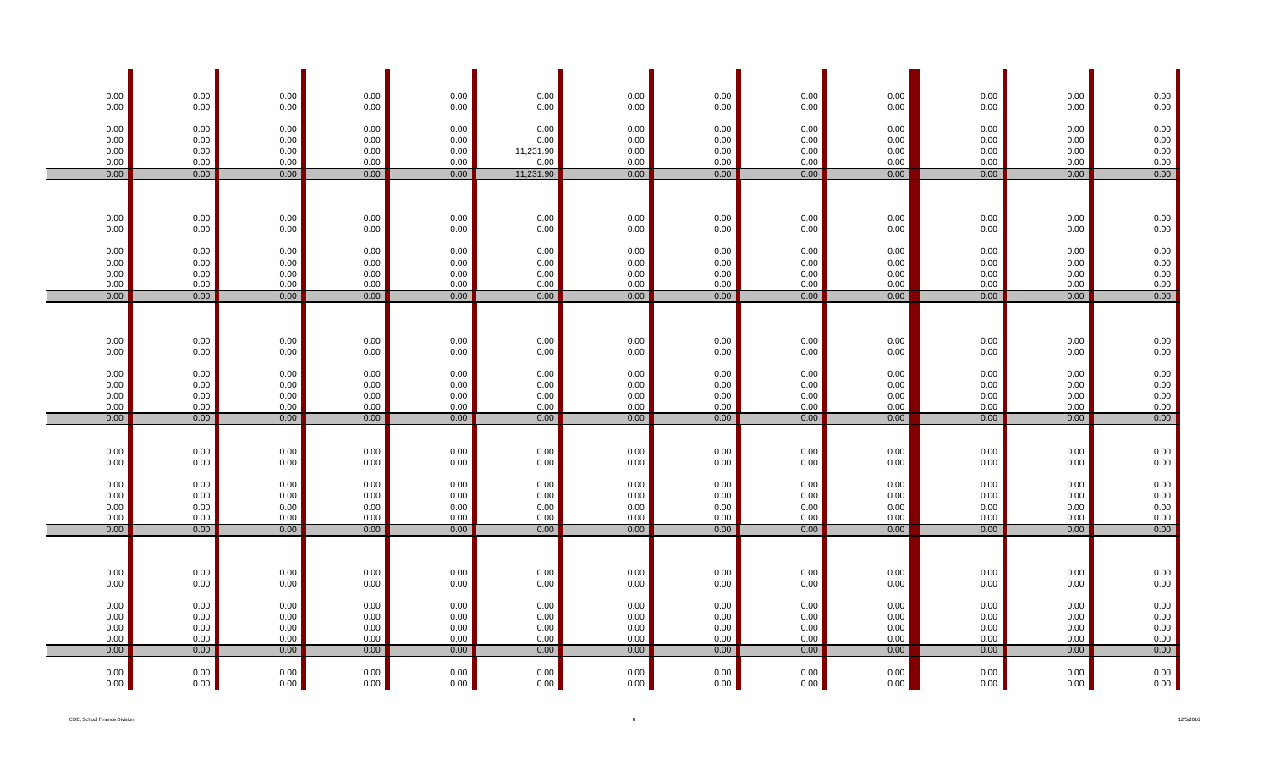| $0.00\,$         | $0.00\,$     | 0.00             | 0.00             | $0.00\,$         | 0.00              | $0.00\,$             | $0.00\,$             | $0.00\,$         | 0.00         | 0.00                 | 0.00             | $0.00\,$             |
|------------------|--------------|------------------|------------------|------------------|-------------------|----------------------|----------------------|------------------|--------------|----------------------|------------------|----------------------|
| 0.00             | 0.00         | 0.00             | 0.00             | 0.00             | 0.00              | 0.00                 | 0.00                 | 0.00             | 0.00         | 0.00                 | 0.00             | $0.00\,$             |
| 0.00             | 0.00         | 0.00             | $0.00\,$         | 0.00             | 0.00              | $0.00\,$             | $0.00\,$             | $0.00\,$         | 0.00         | $0.00\,$             | 0.00             | $0.00\,$             |
| 0.00             | 0.00         | 0.00             | $0.00\,$         | $0.00\,$         | 0.00              | 0.00                 | $0.00\,$             | 0.00             | 0.00         | $0.00\,$             | 0.00             | $0.00\,$             |
| 0.00<br>0.00     | 0.00<br>0.00 | 0.00<br>0.00     | 0.00<br>0.00     | $0.00\,$<br>0.00 | 11,231.90<br>0.00 | 0.00<br>0.00         | 0.00<br>0.00         | $0.00\,$<br>0.00 | 0.00<br>0.00 | 0.00<br>0.00         | 0.00<br>0.00     | 0.00<br>$0.00\,$     |
| 0.00             | 0.00         | 0.00             | 0.00             | 0.00             | 11,231.90         | 0.00                 | 0.00                 | 0.00             | 0.00         | 0.00                 | 0.00             | 0.00                 |
|                  |              |                  |                  |                  |                   |                      |                      |                  |              |                      |                  |                      |
|                  |              |                  |                  |                  |                   |                      |                      |                  |              |                      |                  |                      |
| $0.00\,$         | 0.00         | 0.00             | 0.00             | 0.00             | 0.00              | 0.00                 | 0.00                 | 0.00             | 0.00         | 0.00                 | 0.00             | $0.00\,$             |
| 0.00             | 0.00         | 0.00             | 0.00             | 0.00             | 0.00              | 0.00                 | 0.00                 | 0.00             | 0.00         | $0.00\,$             | 0.00             | $0.00\,$             |
| 0.00             | 0.00         | 0.00             | 0.00             | 0.00             | 0.00              | 0.00                 | $0.00\,$             | 0.00             | 0.00         | 0.00                 | 0.00             | $0.00\,$             |
| 0.00             | 0.00         | 0.00             | 0.00             | 0.00             | 0.00              | 0.00                 | 0.00                 | 0.00             | 0.00         | 0.00                 | 0.00             | $0.00\,$             |
| 0.00<br>0.00     | 0.00<br>0.00 | 0.00<br>0.00     | $0.00\,$<br>0.00 | 0.00<br>0.00     | 0.00<br>0.00      | 0.00<br>$0.00\,$     | $0.00\,$<br>$0.00\,$ | 0.00<br>$0.00\,$ | 0.00<br>0.00 | $0.00\,$<br>$0.00\,$ | 0.00<br>0.00     | $0.00\,$<br>0.00     |
| 0.00             | 0.00         | 0.00             | 0.00             | 0.00             | 0.00              | 0.00                 | 0.00                 | 0.00             | 0.00         | 0.00                 | 0.00             | 0.00                 |
|                  |              |                  |                  |                  |                   |                      |                      |                  |              |                      |                  |                      |
|                  |              |                  |                  |                  |                   |                      |                      |                  |              |                      |                  |                      |
| $0.00\,$         | $0.00\,$     | $0.00\,$         | 0.00             | $0.00\,$         | 0.00              | $0.00\,$             | $0.00\,$             | $0.00\,$         | 0.00         | $0.00\,$             | $0.00\,$         | $0.00\,$             |
| 0.00             | 0.00         | 0.00             | 0.00             | 0.00             | 0.00              | 0.00                 | 0.00                 | 0.00             | 0.00         | 0.00                 | 0.00             | 0.00                 |
| 0.00             | 0.00         | 0.00             | $0.00\,$         | $0.00\,$         | 0.00              | $0.00\,$             | $0.00\,$             | 0.00             | 0.00         | $0.00\,$             | 0.00             | $0.00\,$             |
| 0.00<br>0.00     | 0.00<br>0.00 | 0.00<br>0.00     | $0.00\,$<br>0.00 | 0.00<br>0.00     | 0.00<br>0.00      | 0.00<br>0.00         | $0.00\,$<br>$0.00\,$ | $0.00\,$<br>0.00 | 0.00<br>0.00 | $0.00\,$<br>$0.00\,$ | 0.00<br>0.00     | $0.00\,$<br>$0.00\,$ |
| 0.00             | 0.00         | 0.00             | 0.00             | 0.00             | 0.00              | 0.00                 | 0.00                 | 0.00             | 0.00         | 0.00                 | 0.00             | $0.00\,$             |
| 0.00             | 0.00         | 0.00             | 0.00             | 0.00             | 0.00              | 0.00                 | 0.00                 | 0.00             | 0.00         | 0.00                 | 0.00             | 0.00                 |
|                  |              |                  |                  |                  |                   |                      |                      |                  |              |                      |                  |                      |
| $0.00\,$         | 0.00         | 0.00             | 0.00             | 0.00             | 0.00              | $0.00\,$             | $0.00\,$             | $0.00\,$         | 0.00         | 0.00                 | 0.00             | $0.00\,$             |
| 0.00             | 0.00         | 0.00             | 0.00             | 0.00             | 0.00              | 0.00                 | 0.00                 | 0.00             | 0.00         | $0.00\,$             | 0.00             | $0.00\,$             |
| 0.00             | 0.00         | 0.00             | $0.00\,$         | 0.00             | 0.00              | $0.00\,$             | $0.00\,$             | 0.00             | 0.00         | $0.00\,$             | 0.00             | $0.00\,$             |
| 0.00             | 0.00         | 0.00             | 0.00             | 0.00             | 0.00<br>0.00      | 0.00                 | 0.00                 | 0.00             | 0.00         | 0.00                 | 0.00             | 0.00                 |
| 0.00<br>0.00     | 0.00<br>0.00 | 0.00<br>0.00     | $0.00\,$<br>0.00 | 0.00<br>0.00     | 0.00              | 0.00<br>$0.00\,$     | $0.00\,$<br>$0.00\,$ | 0.00<br>0.00     | 0.00<br>0.00 | 0.00<br>$0.00\,$     | 0.00<br>0.00     | 0.00<br>0.00         |
| 0.00             | 0.00         | 0.00             | 0.00             | 0.00             | 0.00              | 0.00                 | 0.00                 | 0.00             | 0.00         | 0.00                 | 0.00             | 0.00                 |
|                  |              |                  |                  |                  |                   |                      |                      |                  |              |                      |                  |                      |
|                  |              |                  |                  |                  |                   |                      |                      |                  |              |                      |                  |                      |
| $0.00\,$<br>0.00 | 0.00<br>0.00 | 0.00<br>$0.00\,$ | 0.00<br>0.00     | 0.00<br>0.00     | 0.00<br>0.00      | 0.00<br>0.00         | 0.00<br>0.00         | 0.00<br>$0.00\,$ | 0.00<br>0.00 | 0.00<br>$0.00\,$     | 0.00<br>$0.00\,$ | $0.00\,$<br>0.00     |
|                  |              |                  |                  |                  |                   |                      |                      |                  |              |                      |                  |                      |
| 0.00             | 0.00         | 0.00             | $0.00\,$         | $0.00\,$         | 0.00              | 0.00                 | $0.00\,$             | $0.00\,$         | 0.00         | 0.00                 | 0.00             | $0.00\,$             |
| 0.00<br>0.00     | 0.00<br>0.00 | 0.00<br>0.00     | 0.00<br>0.00     | $0.00\,$<br>0.00 | 0.00<br>0.00      | $0.00\,$<br>$0.00\,$ | $0.00\,$<br>$0.00\,$ | 0.00<br>$0.00\,$ | 0.00<br>0.00 | $0.00\,$<br>$0.00\,$ | 0.00<br>0.00     | $0.00\,$<br>0.00     |
| 0.00             | 0.00         | 0.00             | 0.00             | 0.00             | 0.00              | 0.00                 | 0.00                 | 0.00             | 0.00         | 0.00                 | 0.00             | $0.00\,$             |
| 0.00             | 0.00         | 0.00             | 0.00             | 0.00             | 0.00              | 0.00                 | 0.00                 | 0.00             | 0.00         | 0.00                 | 0.00             | 0.00                 |
| 0.00             | 0.00         | 0.00             | 0.00             | 0.00             | 0.00              | 0.00                 | 0.00                 | 0.00             | 0.00         | 0.00                 | 0.00             | $0.00\,$             |
| 0.00             | 0.00         | 0.00             | 0.00             | 0.00             | 0.00              | 0.00                 | 0.00                 | 0.00             | 0.00         | 0.00                 | 0.00             | 0.00                 |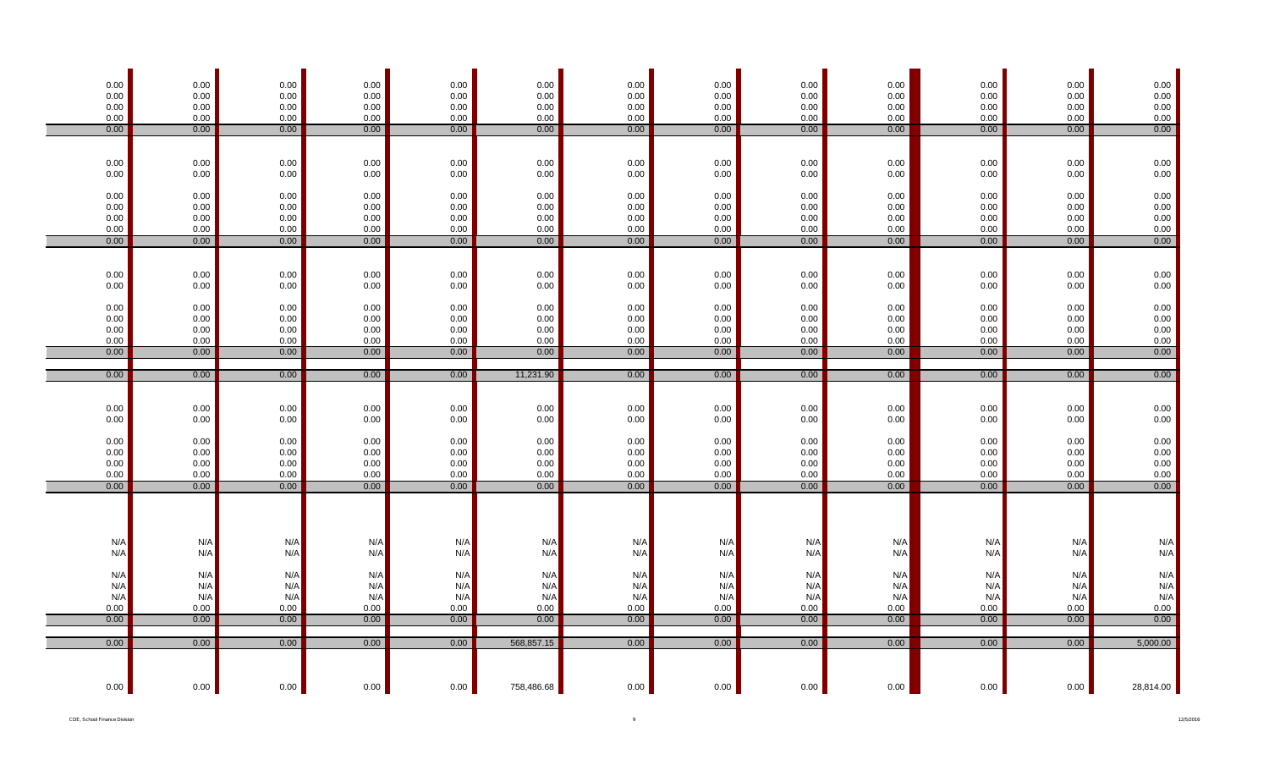| 0.00<br>0.00<br>0.00<br>0.00<br>0.00 | $0.00\,$<br>0.00<br>$0.00\,$<br>$0.00\,$<br>0.00 | 0.00<br>0.00<br>0.00<br>0.00<br>0.00 | $0.00\,$<br>0.00<br>0.00<br>0.00<br>0.00 | 0.00<br>0.00<br>0.00<br>0.00<br>0.00 | $0.00\,$<br>0.00<br>0.00<br>0.00<br>0.00 | $0.00\,$<br>0.00<br>0.00<br>0.00<br>0.00 | $0.00\,$<br>0.00<br>0.00<br>0.00<br>0.00 | $0.00\,$<br>0.00<br>0.00<br>0.00<br>0.00 | 0.00<br>0.00<br>0.00<br>0.00<br>0.00 | $0.00\,$<br>0.00<br>0.00<br>0.00<br>0.00 | 0.00<br>0.00<br>$0.00\,$<br>0.00<br>0.00 | $\begin{array}{c} 0.00 \\ 0.00 \end{array}$<br>$0.00\,$<br>$0.00\,$<br>0.00 |
|--------------------------------------|--------------------------------------------------|--------------------------------------|------------------------------------------|--------------------------------------|------------------------------------------|------------------------------------------|------------------------------------------|------------------------------------------|--------------------------------------|------------------------------------------|------------------------------------------|-----------------------------------------------------------------------------|
|                                      |                                                  |                                      |                                          |                                      |                                          |                                          |                                          |                                          |                                      |                                          |                                          |                                                                             |
| 0.00<br>0.00                         | $0.00\,$<br>0.00                                 | 0.00<br>0.00                         | 0.00<br>0.00                             | 0.00<br>0.00                         | 0.00<br>0.00                             | 0.00<br>0.00                             | 0.00<br>0.00                             | 0.00<br>0.00                             | 0.00<br>0.00                         | 0.00<br>0.00                             | 0.00<br>0.00                             | $0.00\,$<br>0.00                                                            |
| $0.00\,$<br>0.00<br>0.00             | $0.00\,$<br>$0.00\,$<br>$0.00\,$                 | 0.00<br>0.00<br>0.00                 | 0.00<br>0.00<br>0.00                     | 0.00<br>0.00<br>0.00                 | 0.00<br>0.00<br>0.00                     | 0.00<br>0.00<br>0.00                     | 0.00<br>0.00<br>0.00                     | 0.00<br>0.00<br>0.00                     | 0.00<br>0.00<br>0.00                 | 0.00<br>0.00<br>0.00                     | 0.00<br>0.00<br>0.00                     | $0.00\,$ 0.00<br>$0.00\,$                                                   |
| 0.00<br>0.00                         | $0.00\,$<br>0.00                                 | $0.00\,$<br>0.00                     | 0.00<br>0.00                             | 0.00<br>0.00                         | 0.00<br>0.00                             | 0.00<br>0.00                             | 0.00<br>0.00                             | 0.00<br>0.00                             | 0.00<br>0.00                         | 0.00<br>0.00                             | 0.00<br>0.00                             | $0.00\,$<br>0.00                                                            |
| $0.00\,$<br>$0.00\,$                 | $0.00\,$<br>0.00                                 | 0.00<br>$0.00\,$                     | 0.00<br>0.00                             | 0.00<br>0.00                         | $0.00\,$<br>0.00                         | 0.00<br>0.00                             | 0.00<br>0.00                             | $0.00\,$<br>0.00                         | 0.00<br>0.00                         | $0.00\,$<br>0.00                         | 0.00<br>0.00                             | $0.00\,$<br>$0.00\,$                                                        |
| $0.00\,$<br>0.00<br>0.00<br>0.00     | $0.00\,$<br>$0.00\,$<br>0.00<br>$0.00\,$         | $0.00\,$<br>0.00<br>0.00<br>$0.00\,$ | 0.00<br>0.00<br>0.00<br>0.00             | 0.00<br>0.00<br>0.00<br>0.00         | 0.00<br>0.00<br>0.00<br>0.00             | 0.00<br>0.00<br>0.00<br>0.00             | 0.00<br>0.00<br>0.00<br>0.00             | $0.00\,$<br>0.00<br>0.00<br>0.00         | 0.00<br>0.00<br>0.00<br>$0.00\,$     | 0.00<br>0.00<br>0.00<br>0.00             | 0.00<br>0.00<br>0.00<br>0.00             | 0.00<br>$0.00\,$<br>$0.00\,$<br>$0.00\,$                                    |
| 0.00                                 | 0.00                                             | 0.00                                 | 0.00                                     | 0.00                                 | 0.00                                     | 0.00                                     | 0.00                                     | 0.00                                     | 0.00                                 | 0.00                                     | 0.00                                     | 0.00                                                                        |
| 0.00                                 | 0.00                                             | 0.00                                 | 0.00                                     | 0.00                                 | 11,231.90                                | 0.00                                     | 0.00                                     | 0.00                                     | 0.00                                 | 0.00                                     | 0.00                                     | 0.00                                                                        |
| $0.00\,$                             | $0.00\,$                                         | 0.00                                 | 0.00                                     | 0.00                                 | $0.00\,$                                 | $0.00\,$                                 | 0.00                                     | $0.00\,$                                 | $0.00\,$                             | $0.00\,$                                 | 0.00                                     | $0.00\,$                                                                    |
| $0.00\,$                             | 0.00                                             | 0.00                                 | 0.00                                     | 0.00                                 | 0.00                                     | 0.00                                     | 0.00                                     | 0.00                                     | 0.00                                 | 0.00                                     | 0.00                                     | 0.00                                                                        |
| $0.00\,$<br>0.00<br>0.00<br>0.00     | $0.00\,$<br>$0.00\,$<br>0.00<br>$0.00\,$         | 0.00<br>0.00<br>0.00<br>$0.00\,$     | 0.00<br>0.00<br>0.00<br>0.00             | 0.00<br>0.00<br>0.00<br>0.00         | $0.00\,$<br>0.00<br>0.00<br>0.00         | 0.00<br>0.00<br>0.00<br>0.00             | 0.00<br>0.00<br>0.00<br>0.00             | $0.00\,$<br>0.00<br>0.00<br>0.00         | 0.00<br>0.00<br>0.00<br>$0.00\,$     | $0.00\,$<br>0.00<br>0.00<br>0.00         | 0.00<br>0.00<br>0.00<br>0.00             | 0.00<br>$0.00\,$<br>$0.00\,$<br>$0.00\,$                                    |
| 0.00                                 | 0.00                                             | 0.00                                 | 0.00                                     | 0.00                                 | 0.00                                     | 0.00                                     | 0.00                                     | 0.00                                     | 0.00                                 | 0.00                                     | 0.00                                     | 0.00                                                                        |
|                                      |                                                  |                                      |                                          |                                      |                                          |                                          |                                          |                                          |                                      |                                          |                                          |                                                                             |
| N/A<br>N/A                           | N/A<br>N/A                                       | N/A<br>N/A                           | N/A<br>N/A                               | N/A<br>N/A                           | N/A<br>N/A                               | N/A<br>N/A                               | N/A<br>N/A                               | N/A<br>N/A                               | N/A<br>N/A                           | N/A<br>N/A                               | N/A<br>N/A                               | $N/A$<br>$N/A$                                                              |
| N/A<br>N/A<br>N/A                    | N/A<br>N/A<br>N/A                                | N/A<br>N/A<br>N/A                    | N/A<br>N/A<br>N/A                        | N/A<br>N/A<br>N/A                    | N/A<br>N/A<br>N/A                        | N/A<br>N/A<br>N/A                        | N/A<br>N/A<br>N/A                        | N/A<br>N/A<br>N/A                        | N/A<br>N/A<br>N/A                    | N/A<br>N/A<br>N/A                        | N/A<br>N/A<br>N/A                        | N/A<br>N/A<br>N/A                                                           |
| 0.00<br>0.00                         | $0.00\,$<br>0.00                                 | $0.00\,$<br>0.00                     | 0.00<br>0.00                             | 0.00<br>0.00                         | 0.00<br>0.00                             | 0.00<br>0.00                             | 0.00<br>0.00                             | 0.00<br>0.00                             | 0.00<br>0.00                         | $0.00\,$<br>0.00                         | 0.00<br>0.00                             | 0.00<br>0.00                                                                |
|                                      |                                                  |                                      |                                          |                                      |                                          |                                          |                                          |                                          |                                      |                                          |                                          |                                                                             |
| 0.00                                 | 0.00                                             | 0.00                                 | 0.00                                     | 0.00                                 | 568,857.15                               | 0.00                                     | 0.00                                     | 0.00                                     | 0.00                                 | 0.00                                     | 0.00                                     | 5,000.00                                                                    |
| 0.00                                 | 0.00                                             | 0.00                                 | 0.00                                     | 0.00                                 | 758,486.68                               | 0.00                                     | 0.00                                     | 0.00                                     | 0.00                                 | 0.00                                     | 0.00                                     | 28,814.00                                                                   |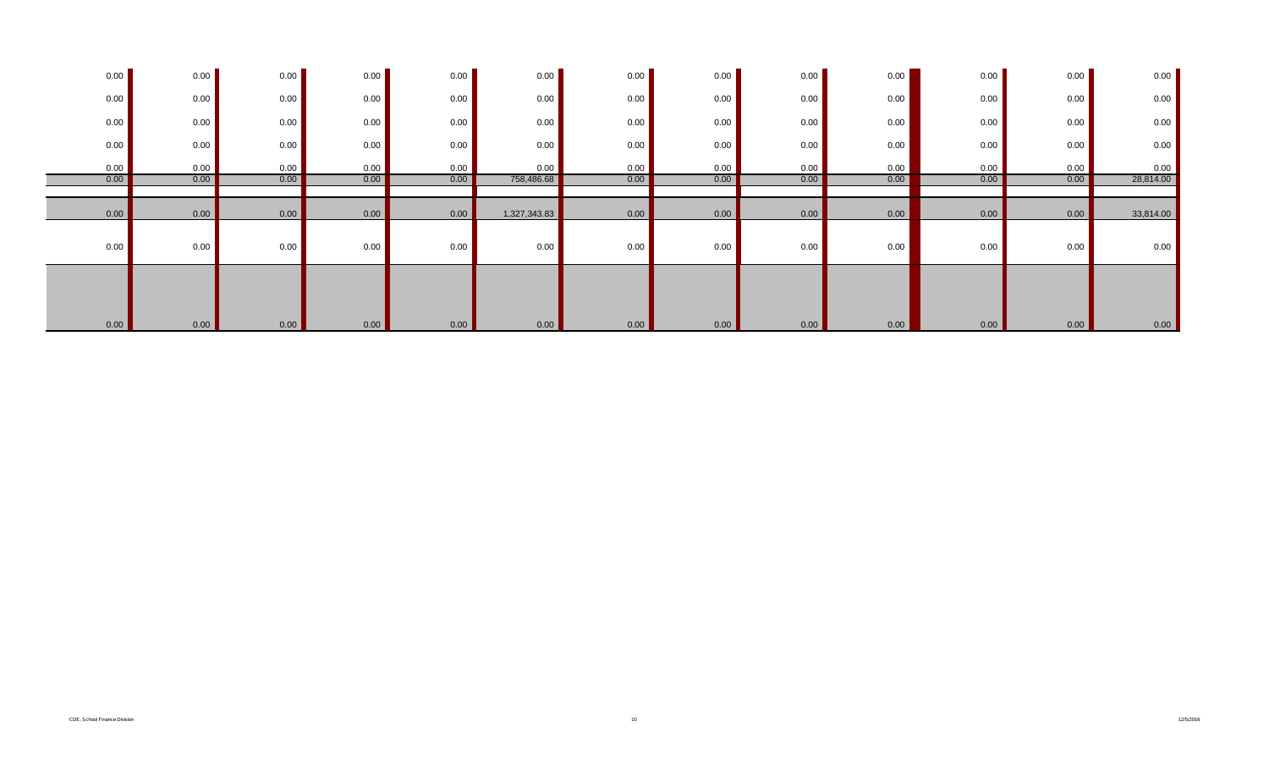| 0.00 | 0.00 | 0.00 | 0.00 | 0.00 | 0.00         | 0.00 | 0.00 | 0.00 | 0.00 | 0.00 | 0.00 | 0.00      |
|------|------|------|------|------|--------------|------|------|------|------|------|------|-----------|
| 0.00 | 0.00 | 0.00 | 0.00 | 0.00 | 0.00         | 0.00 | 0.00 | 0.00 | 0.00 | 0.00 | 0.00 | 0.00      |
| 0.00 | 0.00 | 0.00 | 0.00 | 0.00 | 0.00         | 0.00 | 0.00 | 0.00 | 0.00 | 0.00 | 0.00 | 0.00      |
| 0.00 | 0.00 | 0.00 | 0.00 | 0.00 | 0.00         | 0.00 | 0.00 | 0.00 | 0.00 | 0.00 | 0.00 | $0.00\,$  |
| 0.00 | 0.00 | 0.00 | 0.00 | 0.00 | 0.00         | 0.00 | 0.00 | 0.00 | 0.00 | 0.00 | 0.00 | 0.00      |
| 0.00 | 0.00 | 0.00 | 0.00 | 0.00 | 758,486.68   | 0.00 | 0.00 | 0.00 | 0.00 | 0.00 | 0.00 | 28,814.00 |
|      |      |      |      |      |              |      |      |      |      |      |      |           |
| 0.00 | 0.00 | 0.00 | 0.00 | 0.00 | 1,327,343.83 | 0.00 | 0.00 | 0.00 | 0.00 | 0.00 | 0.00 | 33,814.00 |
| 0.00 | 0.00 | 0.00 | 0.00 | 0.00 | 0.00         | 0.00 | 0.00 | 0.00 | 0.00 | 0.00 | 0.00 | 0.00      |
| 0.00 | 0.00 | 0.00 | 0.00 | 0.00 | 0.00         | 0.00 | 0.00 | 0.00 | 0.00 | 0.00 | 0.00 | 0.00      |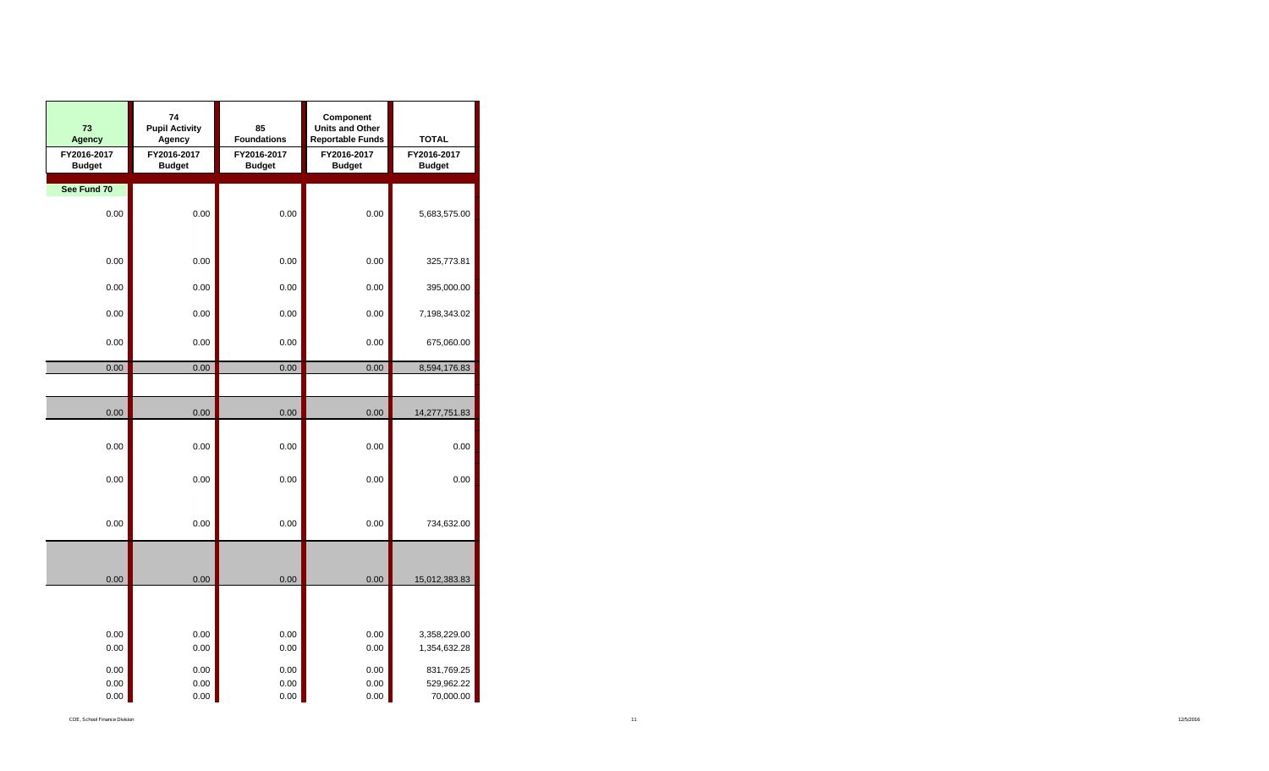| 73<br><b>Agency</b>          | 74<br><b>Pupil Activity</b><br>Agency | 85<br><b>Foundations</b>     | Component<br><b>Units and Other</b><br><b>Reportable Funds</b> | <b>TOTAL</b>                 |
|------------------------------|---------------------------------------|------------------------------|----------------------------------------------------------------|------------------------------|
| FY2016-2017<br><b>Budget</b> | FY2016-2017<br><b>Budget</b>          | FY2016-2017<br><b>Budget</b> | FY2016-2017<br><b>Budget</b>                                   | FY2016-2017<br><b>Budget</b> |
| See Fund 70                  |                                       |                              |                                                                |                              |
|                              |                                       |                              |                                                                |                              |
| 0.00                         | 0.00                                  | 0.00                         | 0.00                                                           | 5,683,575.00                 |
|                              |                                       |                              |                                                                |                              |
| 0.00                         | 0.00                                  | 0.00                         | 0.00                                                           | 325,773.81                   |
|                              |                                       |                              |                                                                |                              |
| 0.00                         | 0.00                                  | 0.00                         | 0.00                                                           | 395,000.00                   |
| 0.00                         | 0.00                                  | 0.00                         | 0.00                                                           | 7,198,343.02                 |
|                              |                                       |                              |                                                                |                              |
| 0.00                         | 0.00                                  | 0.00                         | 0.00                                                           | 675,060.00                   |
| 0.00                         | 0.00                                  | 0.00                         | 0.00                                                           | 8,594,176.83                 |
|                              |                                       |                              |                                                                |                              |
| 0.00                         | 0.00                                  | 0.00                         | 0.00                                                           | 14,277,751.83                |
|                              |                                       |                              |                                                                |                              |
| 0.00                         | 0.00                                  | 0.00                         | 0.00                                                           | 0.00                         |
|                              |                                       |                              |                                                                |                              |
| 0.00                         | 0.00                                  | 0.00                         | 0.00                                                           | 0.00                         |
|                              |                                       |                              |                                                                |                              |
| 0.00                         | 0.00                                  | 0.00                         | 0.00                                                           | 734,632.00                   |
|                              |                                       |                              |                                                                |                              |
|                              |                                       |                              |                                                                |                              |
| 0.00                         | 0.00                                  | 0.00                         | 0.00                                                           | 15,012,383.83                |
|                              |                                       |                              |                                                                |                              |
|                              |                                       |                              |                                                                |                              |
| 0.00                         | 0.00                                  | 0.00                         | 0.00                                                           | 3,358,229.00                 |
| 0.00                         | 0.00                                  | 0.00                         | 0.00                                                           | 1,354,632.28                 |
| 0.00                         | 0.00                                  | 0.00                         | 0.00                                                           | 831,769.25                   |
| 0.00                         | 0.00                                  | 0.00                         | 0.00                                                           | 529,962.22                   |
| 0.00                         | 0.00                                  | 0.00                         | 0.00                                                           | 70,000.00                    |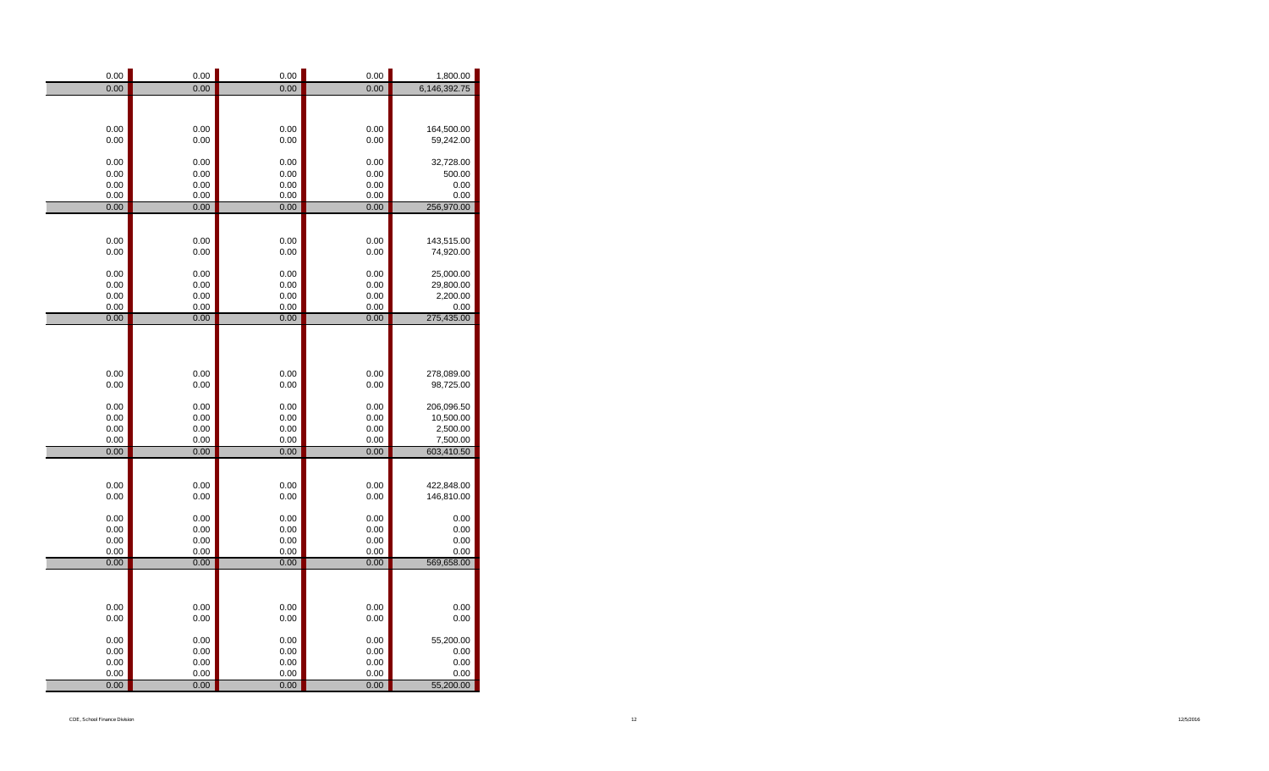| 0.00         | 0.00         | 0.00         | 0.00         | 1,800.00               |
|--------------|--------------|--------------|--------------|------------------------|
| 0.00         | 0.00         | 0.00         | 0.00         | 6,146,392.75           |
|              |              |              |              |                        |
|              |              |              |              |                        |
| 0.00         | 0.00         | 0.00         | 0.00         | 164,500.00             |
| 0.00         | 0.00         | 0.00         | 0.00         | 59,242.00              |
|              |              |              |              |                        |
| 0.00         | 0.00         | 0.00         | 0.00         | 32,728.00              |
| 0.00         | 0.00         | 0.00         | 0.00         | 500.00                 |
| 0.00         | 0.00         | 0.00         | 0.00         | 0.00                   |
| 0.00         | 0.00         | 0.00         | 0.00         | 0.00                   |
| 0.00         | 0.00         | 0.00         | 0.00         | 256,970.00             |
|              |              |              |              |                        |
|              |              |              |              |                        |
| 0.00         | 0.00         | 0.00         | 0.00         | 143,515.00             |
| 0.00         | 0.00         | 0.00         | 0.00         | 74,920.00              |
|              |              |              |              |                        |
| 0.00         | 0.00         | 0.00         | 0.00         | 25,000.00              |
| 0.00         | 0.00         | 0.00         | 0.00         | 29,800.00              |
| 0.00         | 0.00         | 0.00         | 0.00         | 2,200.00               |
| 0.00         | 0.00         | 0.00         | 0.00         | 0.00                   |
| 0.00         | 0.00         | 0.00         | 0.00         | 275,435.00             |
|              |              |              |              |                        |
|              |              |              |              |                        |
|              |              |              |              |                        |
|              |              |              |              |                        |
| 0.00         | 0.00         | 0.00         | 0.00         | 278,089.00             |
| 0.00         | 0.00         | 0.00         | 0.00         | 98,725.00              |
|              |              |              |              |                        |
| 0.00         | 0.00         | 0.00<br>0.00 | 0.00         | 206,096.50             |
| 0.00         | 0.00         |              | 0.00         | 10,500.00              |
| 0.00         | 0.00         | 0.00<br>0.00 | 0.00         | 2,500.00               |
| 0.00<br>0.00 | 0.00<br>0.00 | 0.00         | 0.00<br>0.00 | 7,500.00<br>603,410.50 |
|              |              |              |              |                        |
|              |              |              |              |                        |
| 0.00         | 0.00         | 0.00         | 0.00         | 422,848.00             |
| 0.00         | 0.00         | 0.00         | 0.00         | 146,810.00             |
|              |              |              |              |                        |
| 0.00         | 0.00         | 0.00         | 0.00         | 0.00                   |
| 0.00         | 0.00         | 0.00         | 0.00         | 0.00                   |
| 0.00         | 0.00         | 0.00         | 0.00         | 0.00                   |
| 0.00         | 0.00         | 0.00         | 0.00         | 0.00                   |
| 0.00         | 0.00         | 0.00         | 0.00         | 569,658.00             |
|              |              |              |              |                        |
|              |              |              |              |                        |
|              |              |              |              |                        |
| 0.00         | 0.00         | 0.00         | 0.00         | 0.00                   |
| 0.00         | 0.00         | 0.00         | 0.00         | 0.00                   |
|              |              |              |              |                        |
| 0.00         | 0.00         | 0.00         | 0.00         | 55,200.00              |
| 0.00         | 0.00         | 0.00         | 0.00         | 0.00                   |
| 0.00         | 0.00         | 0.00         | 0.00         | 0.00                   |
| 0.00         | 0.00         | 0.00         | 0.00         | 0.00                   |
| 0.00         | 0.00         | 0.00         | 0.00         | 55,200.00              |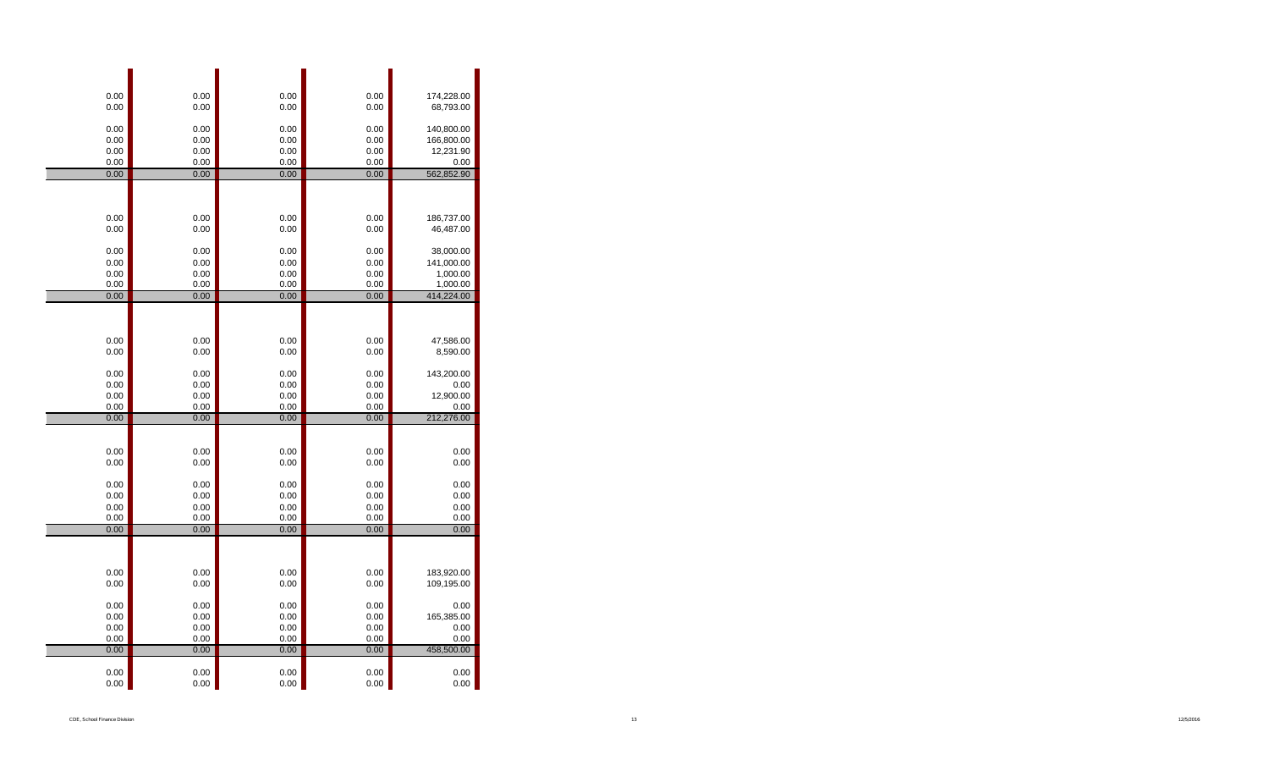| 0.00         | 0.00         | 0.00         | 0.00         |                         |
|--------------|--------------|--------------|--------------|-------------------------|
| 0.00         | 0.00         | 0.00         | 0.00         | 174,228.00<br>68,793.00 |
|              |              |              |              |                         |
| 0.00         | 0.00         | 0.00         | 0.00         | 140,800.00              |
| 0.00         | 0.00         | 0.00         | 0.00         | 166,800.00              |
| 0.00         | 0.00         | 0.00         | 0.00         | 12,231.90               |
| 0.00         | 0.00         | 0.00         | 0.00         | 0.00                    |
| 0.00         | 0.00         | 0.00         | 0.00         | 562,852.90              |
|              |              |              |              |                         |
|              |              |              |              |                         |
| 0.00         | 0.00         | 0.00         | 0.00         | 186,737.00              |
| 0.00         | 0.00         | 0.00         | 0.00         | 46,487.00               |
|              |              |              |              |                         |
| 0.00         | 0.00         | 0.00         | 0.00         | 38,000.00               |
| 0.00         | 0.00         | 0.00         | 0.00         | 141,000.00              |
| 0.00<br>0.00 | 0.00<br>0.00 | 0.00<br>0.00 | 0.00<br>0.00 | 1,000.00<br>1,000.00    |
| 0.00         | 0.00         | 0.00         | 0.00         | 414,224.00              |
|              |              |              |              |                         |
|              |              |              |              |                         |
|              |              |              |              |                         |
| 0.00         | 0.00         | 0.00         | 0.00         | 47,586.00               |
| 0.00         | 0.00         | 0.00         | 0.00         | 8,590.00                |
| 0.00         | 0.00         |              | 0.00         | 143,200.00              |
| 0.00         | 0.00         | 0.00<br>0.00 | 0.00         | 0.00                    |
| 0.00         | 0.00         | 0.00         | 0.00         | 12,900.00               |
| 0.00         | 0.00         | 0.00         | 0.00         | 0.00                    |
| 0.00         | 0.00         | 0.00         | 0.00         | 212,276.00              |
|              |              |              |              |                         |
|              |              |              |              |                         |
| 0.00         | 0.00         | 0.00         | 0.00         | 0.00                    |
| 0.00         | 0.00         | 0.00         | 0.00         | 0.00                    |
| 0.00         | 0.00         | 0.00         | 0.00         | 0.00                    |
| 0.00         | 0.00         | 0.00         | 0.00         | 0.00                    |
| 0.00         | 0.00         | 0.00         | 0.00         | 0.00                    |
| 0.00         | 0.00         | 0.00         | 0.00         | 0.00                    |
| 0.00         | 0.00         | 0.00         | 0.00         | 0.00                    |
|              |              |              |              |                         |
|              |              |              |              |                         |
| 0.00         | 0.00         | 0.00         | 0.00         | 183,920.00              |
| 0.00         | 0.00         | 0.00         | 0.00         | 109,195.00              |
|              |              |              |              |                         |
| 0.00         | 0.00         | 0.00         | 0.00         | 0.00                    |
| 0.00         | 0.00         | 0.00         | 0.00         | 165,385.00              |
| 0.00<br>0.00 | 0.00<br>0.00 | 0.00<br>0.00 | 0.00<br>0.00 | 0.00<br>0.00            |
| 0.00         | 0.00         | 0.00         | 0.00         | 458,500.00              |
|              |              |              |              |                         |
| 0.00         | 0.00         | 0.00         | 0.00         | 0.00                    |
| 0.00         | 0.00         | 0.00         | 0.00         | 0.00                    |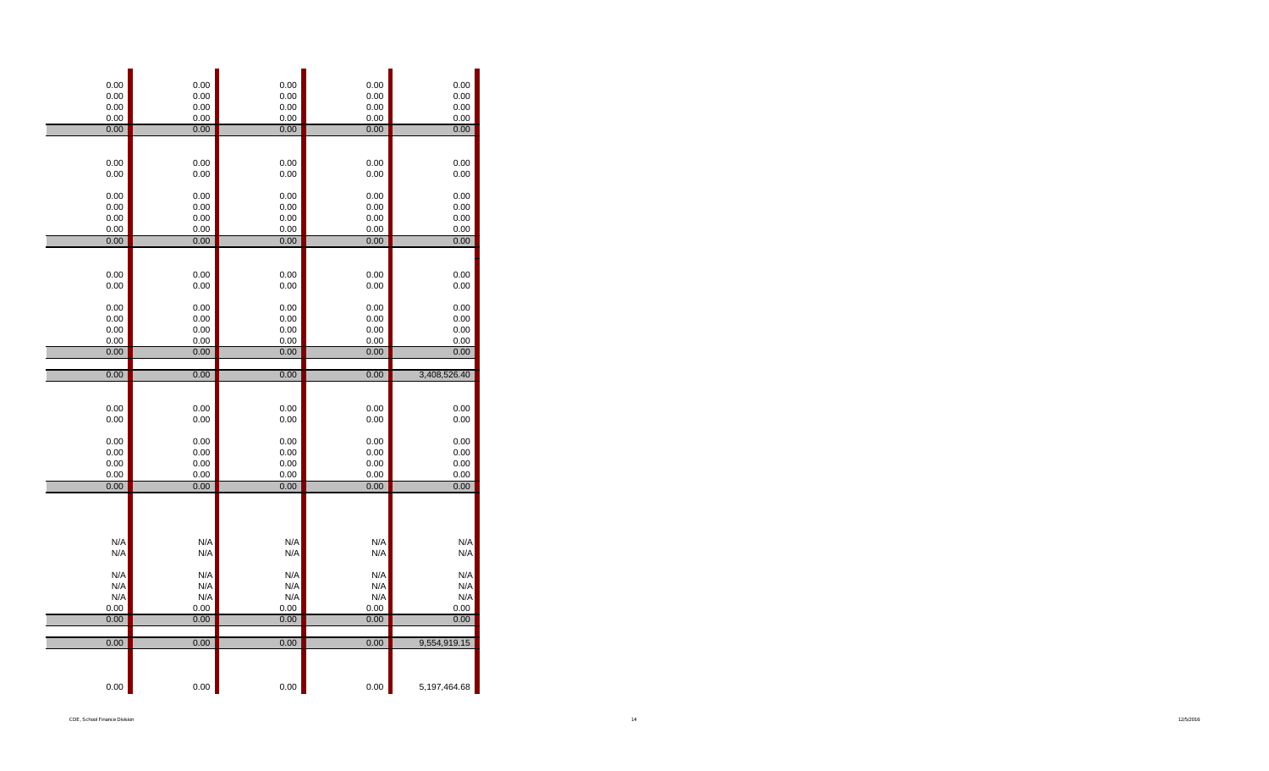| 0.00<br>0.00<br>0.00                         | 0.00<br>0.00<br>0.00                         | 0.00<br>0.00<br>0.00                         | 0.00<br>0.00<br>0.00                         | 0.00<br>0.00<br>0.00                         |
|----------------------------------------------|----------------------------------------------|----------------------------------------------|----------------------------------------------|----------------------------------------------|
| 0.00                                         | 0.00                                         | 0.00                                         | 0.00                                         | 0.00                                         |
| 0.00                                         | 0.00                                         | 0.00                                         | 0.00                                         | 0.00                                         |
| 0.00<br>0.00                                 | 0.00<br>0.00                                 | 0.00<br>0.00                                 | 0.00<br>0.00                                 | 0.00<br>0.00                                 |
| 0.00<br>0.00<br>0.00<br>0.00                 | 0.00<br>0.00<br>0.00<br>0.00                 | 0.00<br>0.00<br>0.00<br>0.00                 | 0.00<br>0.00<br>0.00<br>0.00                 | 0.00<br>0.00<br>0.00<br>0.00                 |
| 0.00                                         | 0.00                                         | 0.00                                         | 0.00                                         | 0.00                                         |
| 0.00<br>0.00                                 | 0.00<br>0.00                                 | 0.00<br>0.00                                 | 0.00<br>0.00                                 | 0.00<br>0.00                                 |
| 0.00<br>0.00<br>0.00                         | 0.00<br>0.00<br>0.00                         | 0.00<br>0.00<br>0.00                         | 0.00<br>0.00<br>0.00                         | 0.00<br>0.00<br>0.00                         |
| 0.00                                         | 0.00                                         | 0.00                                         | 0.00                                         | 0.00                                         |
| 0.00                                         | 0.00                                         | 0.00                                         | 0.00                                         | 0.00                                         |
|                                              |                                              |                                              |                                              |                                              |
| 0.00                                         | 0.00                                         | 0.00                                         | 0.00                                         | 3,408,526.40                                 |
|                                              |                                              |                                              |                                              |                                              |
| 0.00<br>0.00<br>0.00<br>0.00<br>0.00<br>0.00 | 0.00<br>0.00<br>0.00<br>0.00<br>0.00<br>0.00 | 0.00<br>0.00<br>0.00<br>0.00<br>0.00<br>0.00 | 0.00<br>0.00<br>0.00<br>0.00<br>0.00<br>0.00 | 0.00<br>0.00<br>0.00<br>0.00<br>0.00<br>0.00 |
| 0.00                                         | 0.00                                         | 0.00                                         | 0.00                                         | 0.00                                         |
| N/A                                          | N/A                                          | N/A                                          | N/A                                          | N/A                                          |
| N/A<br>N/A                                   | N/A<br>N/A                                   | N/A<br>N/A                                   | N/A<br>N/A                                   | N/A<br>N/A                                   |
| N/A                                          | N/A                                          | N/A                                          | N/A                                          | N/A                                          |
| N/A                                          | N/A                                          | N/A                                          | N/A                                          | N/A                                          |
| 0.00                                         | 0.00                                         | 0.00                                         | 0.00                                         | 0.00                                         |
| 0.00                                         | 0.00                                         | 0.00                                         | 0.00                                         | 0.00                                         |
|                                              |                                              |                                              |                                              |                                              |
| 0.00<br>0.00                                 | 0.00<br>0.00                                 | 0.00<br>0.00                                 | 0.00<br>0.00                                 | 9,554,919.15<br>5,197,464.68                 |